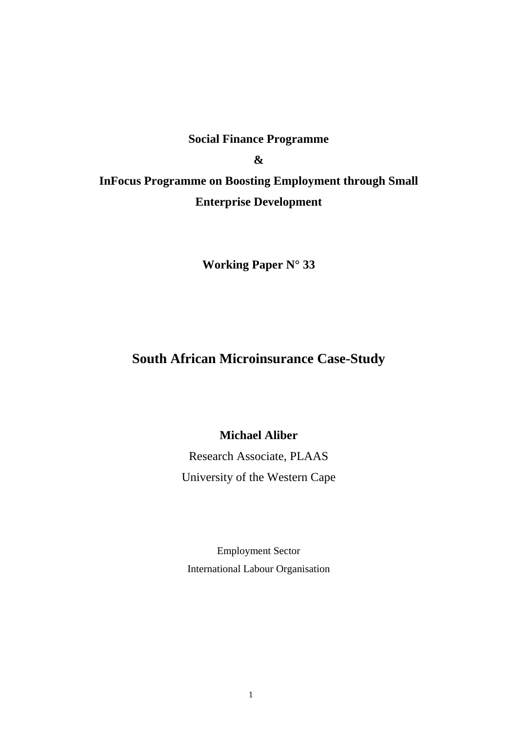# **Social Finance Programme & InFocus Programme on Boosting Employment through Small Enterprise Development**

**Working Paper N° 33** 

## **South African Microinsurance Case-Study**

## **Michael Aliber**

Research Associate, PLAAS University of the Western Cape

Employment Sector International Labour Organisation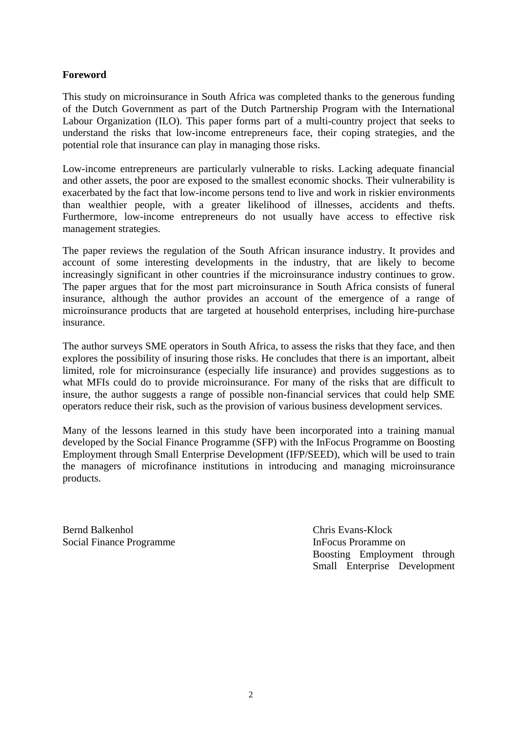### **Foreword**

This study on microinsurance in South Africa was completed thanks to the generous funding of the Dutch Government as part of the Dutch Partnership Program with the International Labour Organization (ILO). This paper forms part of a multi-country project that seeks to understand the risks that low-income entrepreneurs face, their coping strategies, and the potential role that insurance can play in managing those risks.

Low-income entrepreneurs are particularly vulnerable to risks. Lacking adequate financial and other assets, the poor are exposed to the smallest economic shocks. Their vulnerability is exacerbated by the fact that low-income persons tend to live and work in riskier environments than wealthier people, with a greater likelihood of illnesses, accidents and thefts. Furthermore, low-income entrepreneurs do not usually have access to effective risk management strategies.

The paper reviews the regulation of the South African insurance industry. It provides and account of some interesting developments in the industry, that are likely to become increasingly significant in other countries if the microinsurance industry continues to grow. The paper argues that for the most part microinsurance in South Africa consists of funeral insurance, although the author provides an account of the emergence of a range of microinsurance products that are targeted at household enterprises, including hire-purchase insurance.

The author surveys SME operators in South Africa, to assess the risks that they face, and then explores the possibility of insuring those risks. He concludes that there is an important, albeit limited, role for microinsurance (especially life insurance) and provides suggestions as to what MFIs could do to provide microinsurance. For many of the risks that are difficult to insure, the author suggests a range of possible non-financial services that could help SME operators reduce their risk, such as the provision of various business development services.

Many of the lessons learned in this study have been incorporated into a training manual developed by the Social Finance Programme (SFP) with the InFocus Programme on Boosting Employment through Small Enterprise Development (IFP/SEED), which will be used to train the managers of microfinance institutions in introducing and managing microinsurance products.

Bernd Balkenhol Chris Evans-Klock Social Finance Programme **Infocus** Proramme on

Boosting Employment through Small Enterprise Development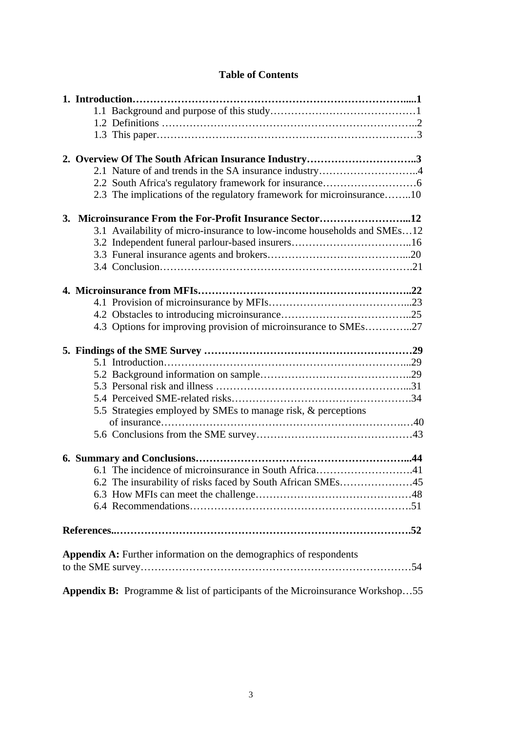|  | <b>Table of Contents</b> |
|--|--------------------------|
|--|--------------------------|

| 2. Overview Of The South African Insurance Industry3                                 |
|--------------------------------------------------------------------------------------|
| 2.1 Nature of and trends in the SA insurance industry4                               |
|                                                                                      |
| 2.3 The implications of the regulatory framework for microinsurance10                |
| 3. Microinsurance From the For-Profit Insurance Sector12                             |
| 3.1 Availability of micro-insurance to low-income households and SMEs12              |
|                                                                                      |
|                                                                                      |
|                                                                                      |
|                                                                                      |
|                                                                                      |
|                                                                                      |
| 4.3 Options for improving provision of microinsurance to SMEs27                      |
|                                                                                      |
|                                                                                      |
|                                                                                      |
|                                                                                      |
|                                                                                      |
|                                                                                      |
| 5.5 Strategies employed by SMEs to manage risk, & perceptions                        |
|                                                                                      |
|                                                                                      |
|                                                                                      |
| 6.1 The incidence of microinsurance in South Africa41                                |
| 6.2 The insurability of risks faced by South African SMEs45                          |
|                                                                                      |
|                                                                                      |
|                                                                                      |
|                                                                                      |
| <b>Appendix A:</b> Further information on the demographics of respondents            |
|                                                                                      |
| <b>Appendix B:</b> Programme & list of participants of the Microinsurance Workshop55 |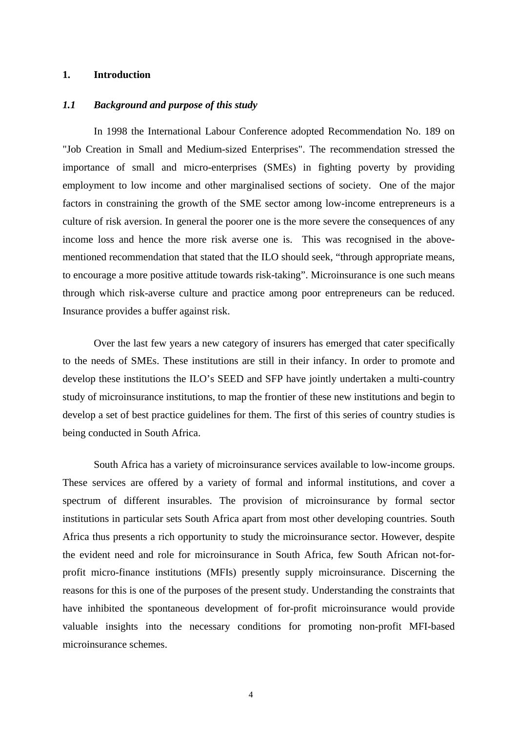#### **1. Introduction**

#### *1.1 Background and purpose of this study*

In 1998 the International Labour Conference adopted Recommendation No. 189 on "Job Creation in Small and Medium-sized Enterprises". The recommendation stressed the importance of small and micro-enterprises (SMEs) in fighting poverty by providing employment to low income and other marginalised sections of society. One of the major factors in constraining the growth of the SME sector among low-income entrepreneurs is a culture of risk aversion. In general the poorer one is the more severe the consequences of any income loss and hence the more risk averse one is. This was recognised in the abovementioned recommendation that stated that the ILO should seek, "through appropriate means, to encourage a more positive attitude towards risk-taking". Microinsurance is one such means through which risk-averse culture and practice among poor entrepreneurs can be reduced. Insurance provides a buffer against risk.

Over the last few years a new category of insurers has emerged that cater specifically to the needs of SMEs. These institutions are still in their infancy. In order to promote and develop these institutions the ILO's SEED and SFP have jointly undertaken a multi-country study of microinsurance institutions, to map the frontier of these new institutions and begin to develop a set of best practice guidelines for them. The first of this series of country studies is being conducted in South Africa.

South Africa has a variety of microinsurance services available to low-income groups. These services are offered by a variety of formal and informal institutions, and cover a spectrum of different insurables. The provision of microinsurance by formal sector institutions in particular sets South Africa apart from most other developing countries. South Africa thus presents a rich opportunity to study the microinsurance sector. However, despite the evident need and role for microinsurance in South Africa, few South African not-forprofit micro-finance institutions (MFIs) presently supply microinsurance. Discerning the reasons for this is one of the purposes of the present study. Understanding the constraints that have inhibited the spontaneous development of for-profit microinsurance would provide valuable insights into the necessary conditions for promoting non-profit MFI-based microinsurance schemes.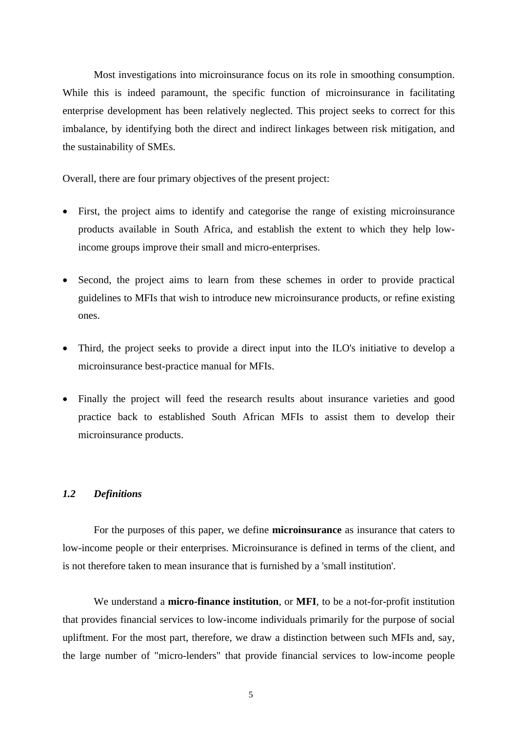Most investigations into microinsurance focus on its role in smoothing consumption. While this is indeed paramount, the specific function of microinsurance in facilitating enterprise development has been relatively neglected. This project seeks to correct for this imbalance, by identifying both the direct and indirect linkages between risk mitigation, and the sustainability of SMEs.

Overall, there are four primary objectives of the present project:

- First, the project aims to identify and categorise the range of existing microinsurance products available in South Africa, and establish the extent to which they help lowincome groups improve their small and micro-enterprises.
- Second, the project aims to learn from these schemes in order to provide practical guidelines to MFIs that wish to introduce new microinsurance products, or refine existing ones.
- Third, the project seeks to provide a direct input into the ILO's initiative to develop a microinsurance best-practice manual for MFIs.
- Finally the project will feed the research results about insurance varieties and good practice back to established South African MFIs to assist them to develop their microinsurance products.

#### *1.2 Definitions*

For the purposes of this paper, we define **microinsurance** as insurance that caters to low-income people or their enterprises. Microinsurance is defined in terms of the client, and is not therefore taken to mean insurance that is furnished by a 'small institution'.

We understand a **micro-finance institution**, or **MFI**, to be a not-for-profit institution that provides financial services to low-income individuals primarily for the purpose of social upliftment. For the most part, therefore, we draw a distinction between such MFIs and, say, the large number of "micro-lenders" that provide financial services to low-income people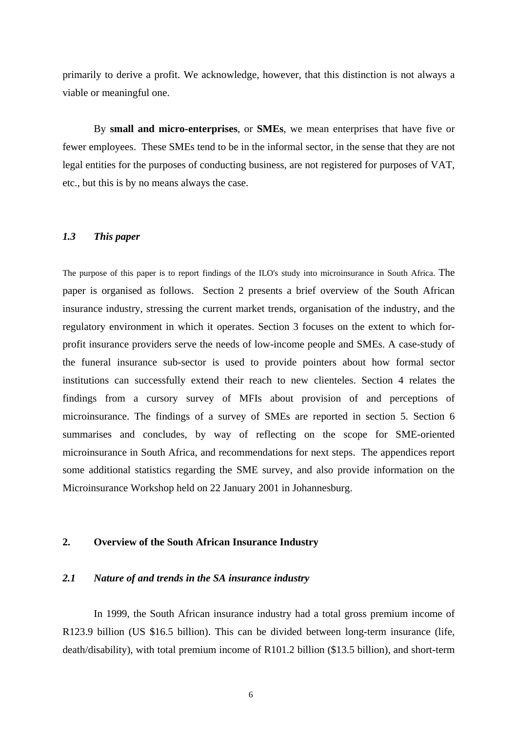primarily to derive a profit. We acknowledge, however, that this distinction is not always a viable or meaningful one.

By **small and micro-enterprises**, or **SMEs**, we mean enterprises that have five or fewer employees. These SMEs tend to be in the informal sector, in the sense that they are not legal entities for the purposes of conducting business, are not registered for purposes of VAT, etc., but this is by no means always the case.

#### *1.3 This paper*

The purpose of this paper is to report findings of the ILO's study into microinsurance in South Africa. The paper is organised as follows. Section 2 presents a brief overview of the South African insurance industry, stressing the current market trends, organisation of the industry, and the regulatory environment in which it operates. Section 3 focuses on the extent to which forprofit insurance providers serve the needs of low-income people and SMEs. A case-study of the funeral insurance sub-sector is used to provide pointers about how formal sector institutions can successfully extend their reach to new clienteles. Section 4 relates the findings from a cursory survey of MFIs about provision of and perceptions of microinsurance. The findings of a survey of SMEs are reported in section 5. Section 6 summarises and concludes, by way of reflecting on the scope for SME-oriented microinsurance in South Africa, and recommendations for next steps. The appendices report some additional statistics regarding the SME survey, and also provide information on the Microinsurance Workshop held on 22 January 2001 in Johannesburg.

#### **2. Overview of the South African Insurance Industry**

#### *2.1 Nature of and trends in the SA insurance industry*

In 1999, the South African insurance industry had a total gross premium income of R123.9 billion (US \$16.5 billion). This can be divided between long-term insurance (life, death/disability), with total premium income of R101.2 billion (\$13.5 billion), and short-term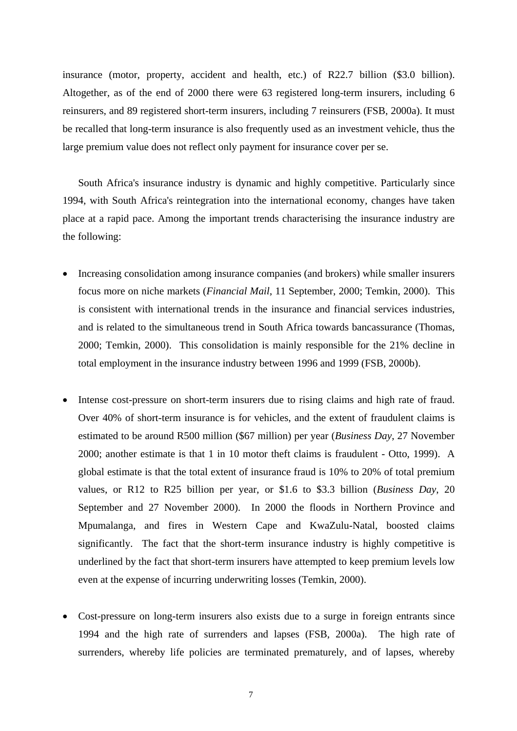insurance (motor, property, accident and health, etc.) of R22.7 billion (\$3.0 billion). Altogether, as of the end of 2000 there were 63 registered long-term insurers, including 6 reinsurers, and 89 registered short-term insurers, including 7 reinsurers (FSB, 2000a). It must be recalled that long-term insurance is also frequently used as an investment vehicle, thus the large premium value does not reflect only payment for insurance cover per se.

South Africa's insurance industry is dynamic and highly competitive. Particularly since 1994, with South Africa's reintegration into the international economy, changes have taken place at a rapid pace. Among the important trends characterising the insurance industry are the following:

- Increasing consolidation among insurance companies (and brokers) while smaller insurers focus more on niche markets (*Financial Mail*, 11 September, 2000; Temkin, 2000). This is consistent with international trends in the insurance and financial services industries, and is related to the simultaneous trend in South Africa towards bancassurance (Thomas, 2000; Temkin, 2000). This consolidation is mainly responsible for the 21% decline in total employment in the insurance industry between 1996 and 1999 (FSB, 2000b).
- Intense cost-pressure on short-term insurers due to rising claims and high rate of fraud. Over 40% of short-term insurance is for vehicles, and the extent of fraudulent claims is estimated to be around R500 million (\$67 million) per year (*Business Day*, 27 November 2000; another estimate is that 1 in 10 motor theft claims is fraudulent - Otto, 1999). A global estimate is that the total extent of insurance fraud is 10% to 20% of total premium values, or R12 to R25 billion per year, or \$1.6 to \$3.3 billion (*Business Day*, 20 September and 27 November 2000). In 2000 the floods in Northern Province and Mpumalanga, and fires in Western Cape and KwaZulu-Natal, boosted claims significantly. The fact that the short-term insurance industry is highly competitive is underlined by the fact that short-term insurers have attempted to keep premium levels low even at the expense of incurring underwriting losses (Temkin, 2000).
- Cost-pressure on long-term insurers also exists due to a surge in foreign entrants since 1994 and the high rate of surrenders and lapses (FSB, 2000a). The high rate of surrenders, whereby life policies are terminated prematurely, and of lapses, whereby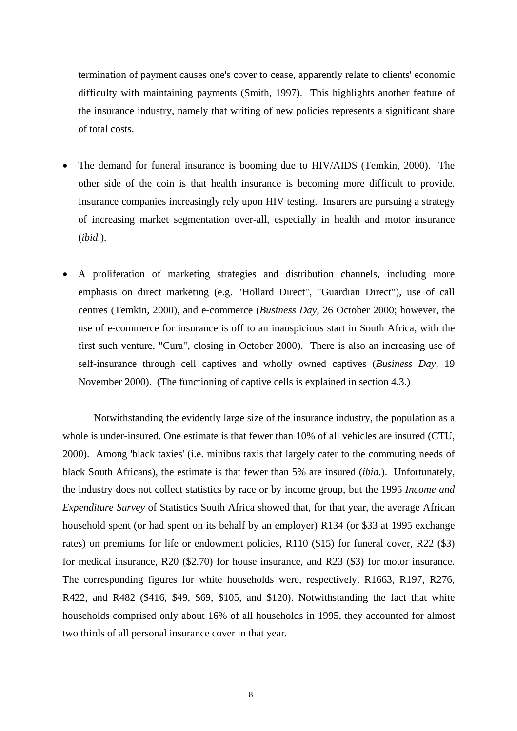termination of payment causes one's cover to cease, apparently relate to clients' economic difficulty with maintaining payments (Smith, 1997). This highlights another feature of the insurance industry, namely that writing of new policies represents a significant share of total costs.

- The demand for funeral insurance is booming due to HIV/AIDS (Temkin, 2000). The other side of the coin is that health insurance is becoming more difficult to provide. Insurance companies increasingly rely upon HIV testing. Insurers are pursuing a strategy of increasing market segmentation over-all, especially in health and motor insurance (*ibid.*).
- A proliferation of marketing strategies and distribution channels, including more emphasis on direct marketing (e.g. "Hollard Direct", "Guardian Direct"), use of call centres (Temkin, 2000), and e-commerce (*Business Day*, 26 October 2000; however, the use of e-commerce for insurance is off to an inauspicious start in South Africa, with the first such venture, "Cura", closing in October 2000). There is also an increasing use of self-insurance through cell captives and wholly owned captives (*Business Day*, 19 November 2000). (The functioning of captive cells is explained in section 4.3.)

Notwithstanding the evidently large size of the insurance industry, the population as a whole is under-insured. One estimate is that fewer than 10% of all vehicles are insured (CTU, 2000). Among 'black taxies' (i.e. minibus taxis that largely cater to the commuting needs of black South Africans), the estimate is that fewer than 5% are insured (*ibid.*). Unfortunately, the industry does not collect statistics by race or by income group, but the 1995 *Income and Expenditure Survey* of Statistics South Africa showed that, for that year, the average African household spent (or had spent on its behalf by an employer) R134 (or \$33 at 1995 exchange rates) on premiums for life or endowment policies, R110 (\$15) for funeral cover, R22 (\$3) for medical insurance, R20 (\$2.70) for house insurance, and R23 (\$3) for motor insurance. The corresponding figures for white households were, respectively, R1663, R197, R276, R422, and R482 (\$416, \$49, \$69, \$105, and \$120). Notwithstanding the fact that white households comprised only about 16% of all households in 1995, they accounted for almost two thirds of all personal insurance cover in that year.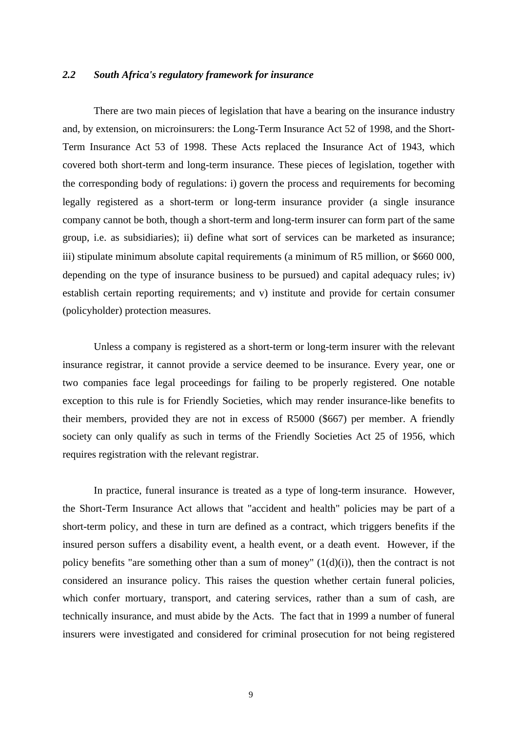#### *2.2 South Africa's regulatory framework for insurance*

 There are two main pieces of legislation that have a bearing on the insurance industry and, by extension, on microinsurers: the Long-Term Insurance Act 52 of 1998, and the Short-Term Insurance Act 53 of 1998. These Acts replaced the Insurance Act of 1943, which covered both short-term and long-term insurance. These pieces of legislation, together with the corresponding body of regulations: i) govern the process and requirements for becoming legally registered as a short-term or long-term insurance provider (a single insurance company cannot be both, though a short-term and long-term insurer can form part of the same group, i.e. as subsidiaries); ii) define what sort of services can be marketed as insurance; iii) stipulate minimum absolute capital requirements (a minimum of R5 million, or \$660 000, depending on the type of insurance business to be pursued) and capital adequacy rules; iv) establish certain reporting requirements; and v) institute and provide for certain consumer (policyholder) protection measures.

Unless a company is registered as a short-term or long-term insurer with the relevant insurance registrar, it cannot provide a service deemed to be insurance. Every year, one or two companies face legal proceedings for failing to be properly registered. One notable exception to this rule is for Friendly Societies, which may render insurance-like benefits to their members, provided they are not in excess of R5000 (\$667) per member. A friendly society can only qualify as such in terms of the Friendly Societies Act 25 of 1956, which requires registration with the relevant registrar.

In practice, funeral insurance is treated as a type of long-term insurance. However, the Short-Term Insurance Act allows that "accident and health" policies may be part of a short-term policy, and these in turn are defined as a contract, which triggers benefits if the insured person suffers a disability event, a health event, or a death event. However, if the policy benefits "are something other than a sum of money"  $(1(d)(i))$ , then the contract is not considered an insurance policy. This raises the question whether certain funeral policies, which confer mortuary, transport, and catering services, rather than a sum of cash, are technically insurance, and must abide by the Acts. The fact that in 1999 a number of funeral insurers were investigated and considered for criminal prosecution for not being registered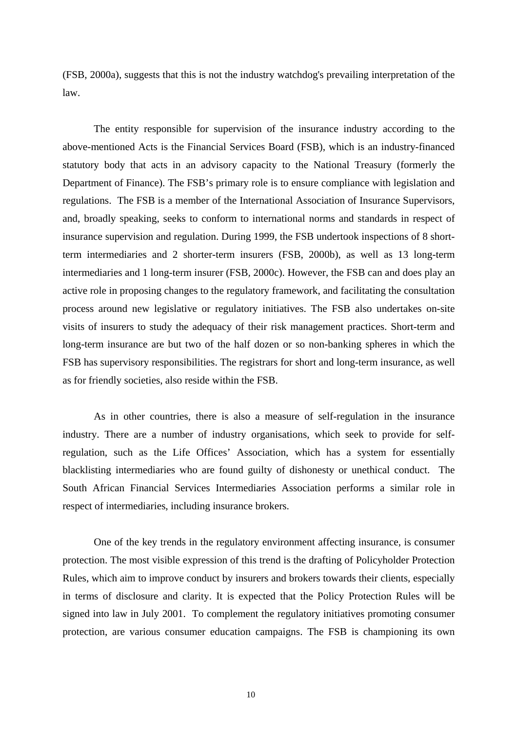(FSB, 2000a), suggests that this is not the industry watchdog's prevailing interpretation of the law.

The entity responsible for supervision of the insurance industry according to the above-mentioned Acts is the Financial Services Board (FSB), which is an industry-financed statutory body that acts in an advisory capacity to the National Treasury (formerly the Department of Finance). The FSB's primary role is to ensure compliance with legislation and regulations. The FSB is a member of the International Association of Insurance Supervisors, and, broadly speaking, seeks to conform to international norms and standards in respect of insurance supervision and regulation. During 1999, the FSB undertook inspections of 8 shortterm intermediaries and 2 shorter-term insurers (FSB, 2000b), as well as 13 long-term intermediaries and 1 long-term insurer (FSB, 2000c). However, the FSB can and does play an active role in proposing changes to the regulatory framework, and facilitating the consultation process around new legislative or regulatory initiatives. The FSB also undertakes on-site visits of insurers to study the adequacy of their risk management practices. Short-term and long-term insurance are but two of the half dozen or so non-banking spheres in which the FSB has supervisory responsibilities. The registrars for short and long-term insurance, as well as for friendly societies, also reside within the FSB.

As in other countries, there is also a measure of self-regulation in the insurance industry. There are a number of industry organisations, which seek to provide for selfregulation, such as the Life Offices' Association, which has a system for essentially blacklisting intermediaries who are found guilty of dishonesty or unethical conduct. The South African Financial Services Intermediaries Association performs a similar role in respect of intermediaries, including insurance brokers.

 One of the key trends in the regulatory environment affecting insurance, is consumer protection. The most visible expression of this trend is the drafting of Policyholder Protection Rules, which aim to improve conduct by insurers and brokers towards their clients, especially in terms of disclosure and clarity. It is expected that the Policy Protection Rules will be signed into law in July 2001. To complement the regulatory initiatives promoting consumer protection, are various consumer education campaigns. The FSB is championing its own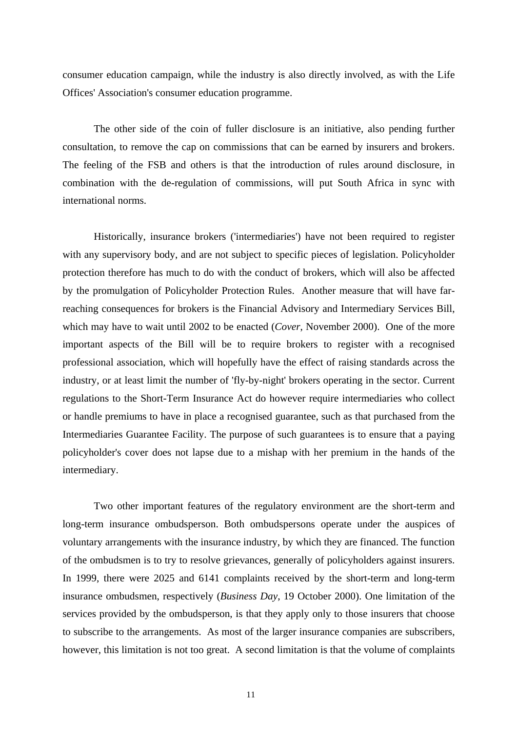consumer education campaign, while the industry is also directly involved, as with the Life Offices' Association's consumer education programme.

The other side of the coin of fuller disclosure is an initiative, also pending further consultation, to remove the cap on commissions that can be earned by insurers and brokers. The feeling of the FSB and others is that the introduction of rules around disclosure, in combination with the de-regulation of commissions, will put South Africa in sync with international norms.

Historically, insurance brokers ('intermediaries') have not been required to register with any supervisory body, and are not subject to specific pieces of legislation. Policyholder protection therefore has much to do with the conduct of brokers, which will also be affected by the promulgation of Policyholder Protection Rules. Another measure that will have farreaching consequences for brokers is the Financial Advisory and Intermediary Services Bill, which may have to wait until 2002 to be enacted (*Cover*, November 2000). One of the more important aspects of the Bill will be to require brokers to register with a recognised professional association, which will hopefully have the effect of raising standards across the industry, or at least limit the number of 'fly-by-night' brokers operating in the sector. Current regulations to the Short-Term Insurance Act do however require intermediaries who collect or handle premiums to have in place a recognised guarantee, such as that purchased from the Intermediaries Guarantee Facility. The purpose of such guarantees is to ensure that a paying policyholder's cover does not lapse due to a mishap with her premium in the hands of the intermediary.

Two other important features of the regulatory environment are the short-term and long-term insurance ombudsperson. Both ombudspersons operate under the auspices of voluntary arrangements with the insurance industry, by which they are financed. The function of the ombudsmen is to try to resolve grievances, generally of policyholders against insurers. In 1999, there were 2025 and 6141 complaints received by the short-term and long-term insurance ombudsmen, respectively (*Business Day*, 19 October 2000). One limitation of the services provided by the ombudsperson, is that they apply only to those insurers that choose to subscribe to the arrangements. As most of the larger insurance companies are subscribers, however, this limitation is not too great. A second limitation is that the volume of complaints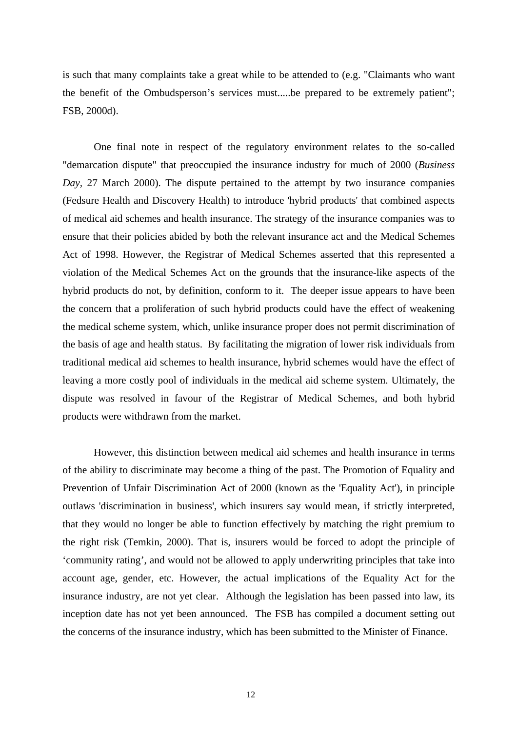is such that many complaints take a great while to be attended to (e.g. "Claimants who want the benefit of the Ombudsperson's services must.....be prepared to be extremely patient"; FSB, 2000d).

One final note in respect of the regulatory environment relates to the so-called "demarcation dispute" that preoccupied the insurance industry for much of 2000 (*Business Day,* 27 March 2000). The dispute pertained to the attempt by two insurance companies (Fedsure Health and Discovery Health) to introduce 'hybrid products' that combined aspects of medical aid schemes and health insurance. The strategy of the insurance companies was to ensure that their policies abided by both the relevant insurance act and the Medical Schemes Act of 1998. However, the Registrar of Medical Schemes asserted that this represented a violation of the Medical Schemes Act on the grounds that the insurance-like aspects of the hybrid products do not, by definition, conform to it. The deeper issue appears to have been the concern that a proliferation of such hybrid products could have the effect of weakening the medical scheme system, which, unlike insurance proper does not permit discrimination of the basis of age and health status. By facilitating the migration of lower risk individuals from traditional medical aid schemes to health insurance, hybrid schemes would have the effect of leaving a more costly pool of individuals in the medical aid scheme system. Ultimately, the dispute was resolved in favour of the Registrar of Medical Schemes, and both hybrid products were withdrawn from the market.

However, this distinction between medical aid schemes and health insurance in terms of the ability to discriminate may become a thing of the past. The Promotion of Equality and Prevention of Unfair Discrimination Act of 2000 (known as the 'Equality Act'), in principle outlaws 'discrimination in business', which insurers say would mean, if strictly interpreted, that they would no longer be able to function effectively by matching the right premium to the right risk (Temkin, 2000). That is, insurers would be forced to adopt the principle of 'community rating', and would not be allowed to apply underwriting principles that take into account age, gender, etc. However, the actual implications of the Equality Act for the insurance industry, are not yet clear. Although the legislation has been passed into law, its inception date has not yet been announced. The FSB has compiled a document setting out the concerns of the insurance industry, which has been submitted to the Minister of Finance.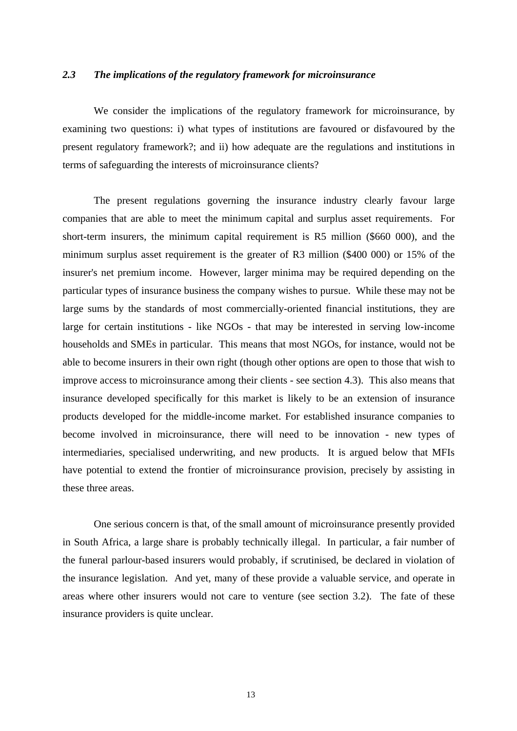#### *2.3 The implications of the regulatory framework for microinsurance*

We consider the implications of the regulatory framework for microinsurance, by examining two questions: i) what types of institutions are favoured or disfavoured by the present regulatory framework?; and ii) how adequate are the regulations and institutions in terms of safeguarding the interests of microinsurance clients?

The present regulations governing the insurance industry clearly favour large companies that are able to meet the minimum capital and surplus asset requirements. For short-term insurers, the minimum capital requirement is R5 million (\$660 000), and the minimum surplus asset requirement is the greater of R3 million (\$400 000) or 15% of the insurer's net premium income. However, larger minima may be required depending on the particular types of insurance business the company wishes to pursue. While these may not be large sums by the standards of most commercially-oriented financial institutions, they are large for certain institutions - like NGOs - that may be interested in serving low-income households and SMEs in particular. This means that most NGOs, for instance, would not be able to become insurers in their own right (though other options are open to those that wish to improve access to microinsurance among their clients - see section 4.3). This also means that insurance developed specifically for this market is likely to be an extension of insurance products developed for the middle-income market. For established insurance companies to become involved in microinsurance, there will need to be innovation - new types of intermediaries, specialised underwriting, and new products. It is argued below that MFIs have potential to extend the frontier of microinsurance provision, precisely by assisting in these three areas.

One serious concern is that, of the small amount of microinsurance presently provided in South Africa, a large share is probably technically illegal. In particular, a fair number of the funeral parlour-based insurers would probably, if scrutinised, be declared in violation of the insurance legislation. And yet, many of these provide a valuable service, and operate in areas where other insurers would not care to venture (see section 3.2). The fate of these insurance providers is quite unclear.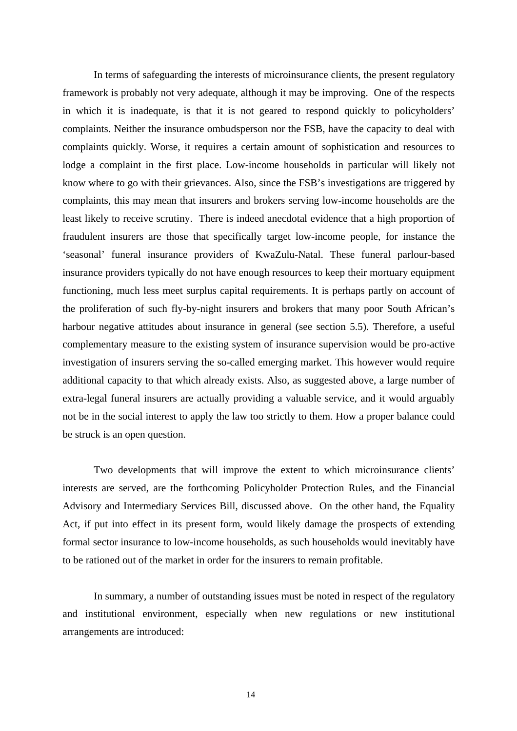In terms of safeguarding the interests of microinsurance clients, the present regulatory framework is probably not very adequate, although it may be improving. One of the respects in which it is inadequate, is that it is not geared to respond quickly to policyholders' complaints. Neither the insurance ombudsperson nor the FSB, have the capacity to deal with complaints quickly. Worse, it requires a certain amount of sophistication and resources to lodge a complaint in the first place. Low-income households in particular will likely not know where to go with their grievances. Also, since the FSB's investigations are triggered by complaints, this may mean that insurers and brokers serving low-income households are the least likely to receive scrutiny. There is indeed anecdotal evidence that a high proportion of fraudulent insurers are those that specifically target low-income people, for instance the 'seasonal' funeral insurance providers of KwaZulu-Natal. These funeral parlour-based insurance providers typically do not have enough resources to keep their mortuary equipment functioning, much less meet surplus capital requirements. It is perhaps partly on account of the proliferation of such fly-by-night insurers and brokers that many poor South African's harbour negative attitudes about insurance in general (see section 5.5). Therefore, a useful complementary measure to the existing system of insurance supervision would be pro-active investigation of insurers serving the so-called emerging market. This however would require additional capacity to that which already exists. Also, as suggested above, a large number of extra-legal funeral insurers are actually providing a valuable service, and it would arguably not be in the social interest to apply the law too strictly to them. How a proper balance could be struck is an open question.

Two developments that will improve the extent to which microinsurance clients' interests are served, are the forthcoming Policyholder Protection Rules, and the Financial Advisory and Intermediary Services Bill, discussed above. On the other hand, the Equality Act, if put into effect in its present form, would likely damage the prospects of extending formal sector insurance to low-income households, as such households would inevitably have to be rationed out of the market in order for the insurers to remain profitable.

In summary, a number of outstanding issues must be noted in respect of the regulatory and institutional environment, especially when new regulations or new institutional arrangements are introduced: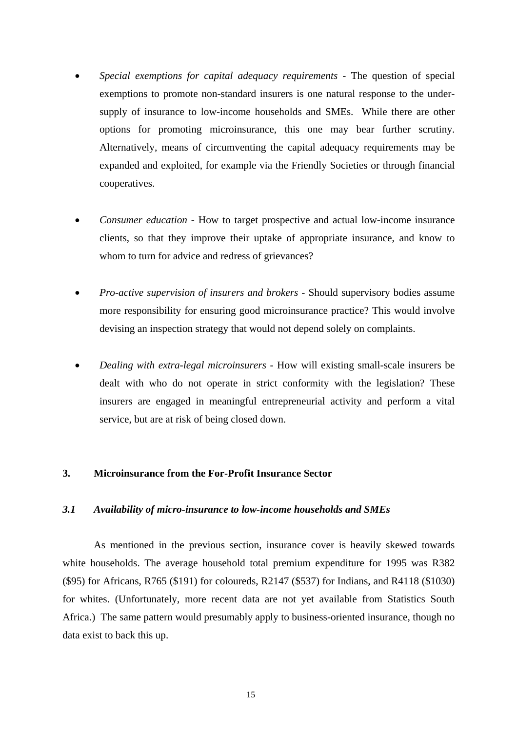- *Special exemptions for capital adequacy requirements* The question of special exemptions to promote non-standard insurers is one natural response to the undersupply of insurance to low-income households and SMEs. While there are other options for promoting microinsurance, this one may bear further scrutiny. Alternatively, means of circumventing the capital adequacy requirements may be expanded and exploited, for example via the Friendly Societies or through financial cooperatives.
- *Consumer education* How to target prospective and actual low-income insurance clients, so that they improve their uptake of appropriate insurance, and know to whom to turn for advice and redress of grievances?
- *Pro-active supervision of insurers and brokers* Should supervisory bodies assume more responsibility for ensuring good microinsurance practice? This would involve devising an inspection strategy that would not depend solely on complaints.
- *Dealing with extra-legal microinsurers* How will existing small-scale insurers be dealt with who do not operate in strict conformity with the legislation? These insurers are engaged in meaningful entrepreneurial activity and perform a vital service, but are at risk of being closed down.

#### **3. Microinsurance from the For-Profit Insurance Sector**

#### *3.1 Availability of micro-insurance to low-income households and SMEs*

As mentioned in the previous section, insurance cover is heavily skewed towards white households. The average household total premium expenditure for 1995 was R382 (\$95) for Africans, R765 (\$191) for coloureds, R2147 (\$537) for Indians, and R4118 (\$1030) for whites. (Unfortunately, more recent data are not yet available from Statistics South Africa.) The same pattern would presumably apply to business-oriented insurance, though no data exist to back this up.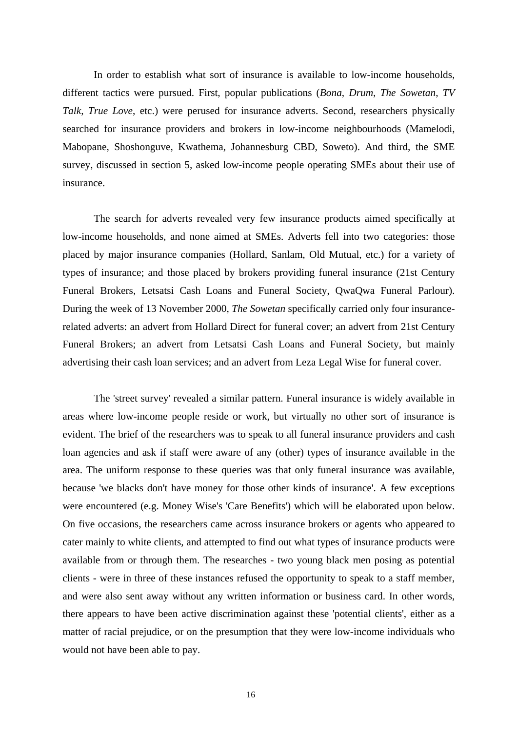In order to establish what sort of insurance is available to low-income households, different tactics were pursued. First, popular publications (*Bona*, *Drum*, *The Sowetan*, *TV Talk*, *True Love*, etc.) were perused for insurance adverts. Second, researchers physically searched for insurance providers and brokers in low-income neighbourhoods (Mamelodi, Mabopane, Shoshonguve, Kwathema, Johannesburg CBD, Soweto). And third, the SME survey, discussed in section 5, asked low-income people operating SMEs about their use of insurance.

The search for adverts revealed very few insurance products aimed specifically at low-income households, and none aimed at SMEs. Adverts fell into two categories: those placed by major insurance companies (Hollard, Sanlam, Old Mutual, etc.) for a variety of types of insurance; and those placed by brokers providing funeral insurance (21st Century Funeral Brokers, Letsatsi Cash Loans and Funeral Society, QwaQwa Funeral Parlour). During the week of 13 November 2000, *The Sowetan* specifically carried only four insurancerelated adverts: an advert from Hollard Direct for funeral cover; an advert from 21st Century Funeral Brokers; an advert from Letsatsi Cash Loans and Funeral Society, but mainly advertising their cash loan services; and an advert from Leza Legal Wise for funeral cover.

The 'street survey' revealed a similar pattern. Funeral insurance is widely available in areas where low-income people reside or work, but virtually no other sort of insurance is evident. The brief of the researchers was to speak to all funeral insurance providers and cash loan agencies and ask if staff were aware of any (other) types of insurance available in the area. The uniform response to these queries was that only funeral insurance was available, because 'we blacks don't have money for those other kinds of insurance'. A few exceptions were encountered (e.g. Money Wise's 'Care Benefits') which will be elaborated upon below. On five occasions, the researchers came across insurance brokers or agents who appeared to cater mainly to white clients, and attempted to find out what types of insurance products were available from or through them. The researches - two young black men posing as potential clients - were in three of these instances refused the opportunity to speak to a staff member, and were also sent away without any written information or business card. In other words, there appears to have been active discrimination against these 'potential clients', either as a matter of racial prejudice, or on the presumption that they were low-income individuals who would not have been able to pay.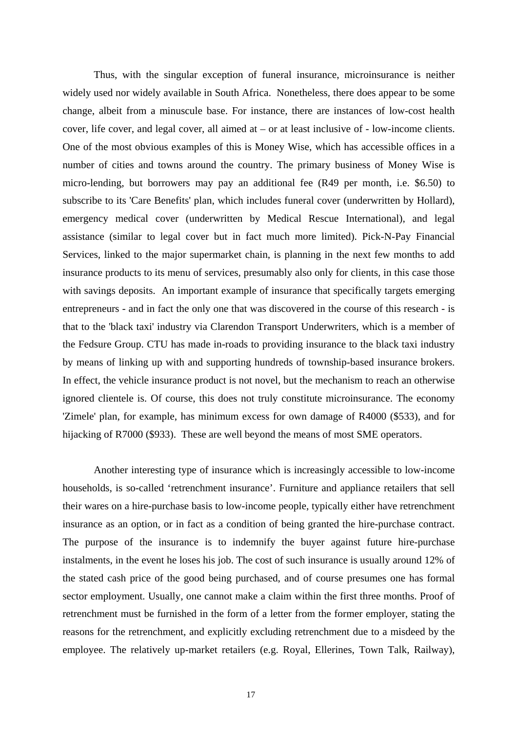Thus, with the singular exception of funeral insurance, microinsurance is neither widely used nor widely available in South Africa. Nonetheless, there does appear to be some change, albeit from a minuscule base. For instance, there are instances of low-cost health cover, life cover, and legal cover, all aimed at – or at least inclusive of - low-income clients. One of the most obvious examples of this is Money Wise, which has accessible offices in a number of cities and towns around the country. The primary business of Money Wise is micro-lending, but borrowers may pay an additional fee (R49 per month, i.e. \$6.50) to subscribe to its 'Care Benefits' plan, which includes funeral cover (underwritten by Hollard), emergency medical cover (underwritten by Medical Rescue International), and legal assistance (similar to legal cover but in fact much more limited). Pick-N-Pay Financial Services, linked to the major supermarket chain, is planning in the next few months to add insurance products to its menu of services, presumably also only for clients, in this case those with savings deposits. An important example of insurance that specifically targets emerging entrepreneurs - and in fact the only one that was discovered in the course of this research - is that to the 'black taxi' industry via Clarendon Transport Underwriters, which is a member of the Fedsure Group. CTU has made in-roads to providing insurance to the black taxi industry by means of linking up with and supporting hundreds of township-based insurance brokers. In effect, the vehicle insurance product is not novel, but the mechanism to reach an otherwise ignored clientele is. Of course, this does not truly constitute microinsurance. The economy 'Zimele' plan, for example, has minimum excess for own damage of R4000 (\$533), and for hijacking of R7000 (\$933). These are well beyond the means of most SME operators.

Another interesting type of insurance which is increasingly accessible to low-income households, is so-called 'retrenchment insurance'. Furniture and appliance retailers that sell their wares on a hire-purchase basis to low-income people, typically either have retrenchment insurance as an option, or in fact as a condition of being granted the hire-purchase contract. The purpose of the insurance is to indemnify the buyer against future hire-purchase instalments, in the event he loses his job. The cost of such insurance is usually around 12% of the stated cash price of the good being purchased, and of course presumes one has formal sector employment. Usually, one cannot make a claim within the first three months. Proof of retrenchment must be furnished in the form of a letter from the former employer, stating the reasons for the retrenchment, and explicitly excluding retrenchment due to a misdeed by the employee. The relatively up-market retailers (e.g. Royal, Ellerines, Town Talk, Railway),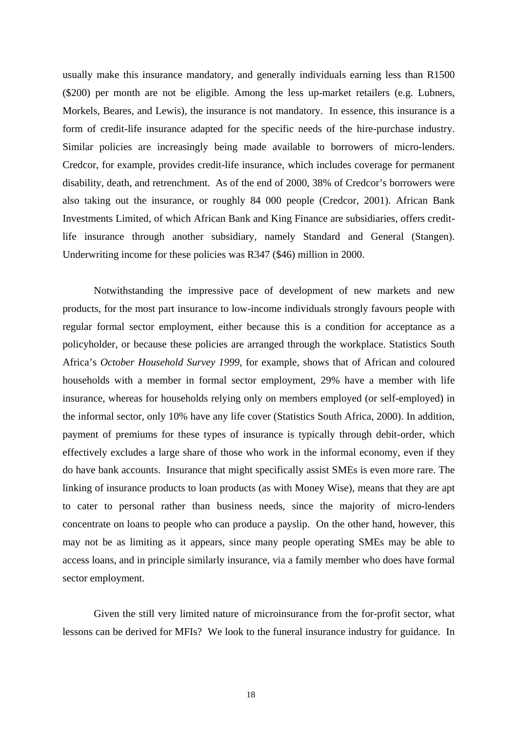usually make this insurance mandatory, and generally individuals earning less than R1500 (\$200) per month are not be eligible. Among the less up-market retailers (e.g. Lubners, Morkels, Beares, and Lewis), the insurance is not mandatory. In essence, this insurance is a form of credit-life insurance adapted for the specific needs of the hire-purchase industry. Similar policies are increasingly being made available to borrowers of micro-lenders. Credcor, for example, provides credit-life insurance, which includes coverage for permanent disability, death, and retrenchment. As of the end of 2000, 38% of Credcor's borrowers were also taking out the insurance, or roughly 84 000 people (Credcor, 2001). African Bank Investments Limited, of which African Bank and King Finance are subsidiaries, offers creditlife insurance through another subsidiary, namely Standard and General (Stangen). Underwriting income for these policies was R347 (\$46) million in 2000.

 Notwithstanding the impressive pace of development of new markets and new products, for the most part insurance to low-income individuals strongly favours people with regular formal sector employment, either because this is a condition for acceptance as a policyholder, or because these policies are arranged through the workplace. Statistics South Africa's *October Household Survey 1999*, for example, shows that of African and coloured households with a member in formal sector employment, 29% have a member with life insurance, whereas for households relying only on members employed (or self-employed) in the informal sector, only 10% have any life cover (Statistics South Africa, 2000). In addition, payment of premiums for these types of insurance is typically through debit-order, which effectively excludes a large share of those who work in the informal economy, even if they do have bank accounts. Insurance that might specifically assist SMEs is even more rare. The linking of insurance products to loan products (as with Money Wise), means that they are apt to cater to personal rather than business needs, since the majority of micro-lenders concentrate on loans to people who can produce a payslip. On the other hand, however, this may not be as limiting as it appears, since many people operating SMEs may be able to access loans, and in principle similarly insurance, via a family member who does have formal sector employment.

Given the still very limited nature of microinsurance from the for-profit sector, what lessons can be derived for MFIs? We look to the funeral insurance industry for guidance. In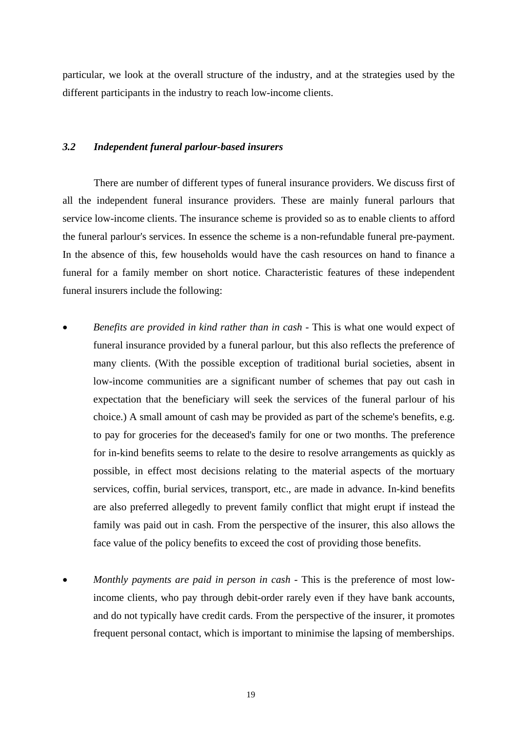particular, we look at the overall structure of the industry, and at the strategies used by the different participants in the industry to reach low-income clients.

#### *3.2 Independent funeral parlour-based insurers*

There are number of different types of funeral insurance providers. We discuss first of all the independent funeral insurance providers. These are mainly funeral parlours that service low-income clients. The insurance scheme is provided so as to enable clients to afford the funeral parlour's services. In essence the scheme is a non-refundable funeral pre-payment. In the absence of this, few households would have the cash resources on hand to finance a funeral for a family member on short notice. Characteristic features of these independent funeral insurers include the following:

- *Benefits are provided in kind rather than in cash* This is what one would expect of funeral insurance provided by a funeral parlour, but this also reflects the preference of many clients. (With the possible exception of traditional burial societies, absent in low-income communities are a significant number of schemes that pay out cash in expectation that the beneficiary will seek the services of the funeral parlour of his choice.) A small amount of cash may be provided as part of the scheme's benefits, e.g. to pay for groceries for the deceased's family for one or two months. The preference for in-kind benefits seems to relate to the desire to resolve arrangements as quickly as possible, in effect most decisions relating to the material aspects of the mortuary services, coffin, burial services, transport, etc., are made in advance. In-kind benefits are also preferred allegedly to prevent family conflict that might erupt if instead the family was paid out in cash. From the perspective of the insurer, this also allows the face value of the policy benefits to exceed the cost of providing those benefits.
- *Monthly payments are paid in person in cash* This is the preference of most lowincome clients, who pay through debit-order rarely even if they have bank accounts, and do not typically have credit cards. From the perspective of the insurer, it promotes frequent personal contact, which is important to minimise the lapsing of memberships.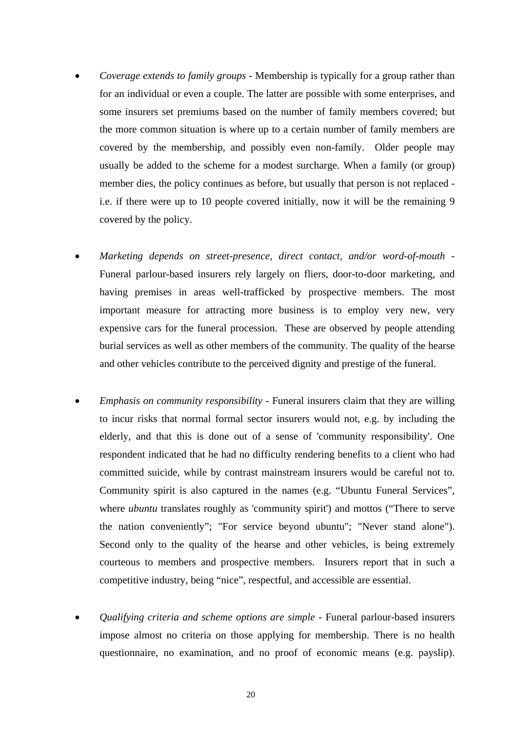- *Coverage extends to family groups*  Membership is typically for a group rather than for an individual or even a couple. The latter are possible with some enterprises, and some insurers set premiums based on the number of family members covered; but the more common situation is where up to a certain number of family members are covered by the membership, and possibly even non-family. Older people may usually be added to the scheme for a modest surcharge. When a family (or group) member dies, the policy continues as before, but usually that person is not replaced i.e. if there were up to 10 people covered initially, now it will be the remaining 9 covered by the policy.
- *Marketing depends on street-presence, direct contact, and/or word-of-mouth*  Funeral parlour-based insurers rely largely on fliers, door-to-door marketing, and having premises in areas well-trafficked by prospective members. The most important measure for attracting more business is to employ very new, very expensive cars for the funeral procession. These are observed by people attending burial services as well as other members of the community. The quality of the hearse and other vehicles contribute to the perceived dignity and prestige of the funeral.
- *Emphasis on community responsibility* Funeral insurers claim that they are willing to incur risks that normal formal sector insurers would not, e.g. by including the elderly, and that this is done out of a sense of 'community responsibility'. One respondent indicated that he had no difficulty rendering benefits to a client who had committed suicide, while by contrast mainstream insurers would be careful not to. Community spirit is also captured in the names (e.g. "Ubuntu Funeral Services", where *ubuntu* translates roughly as 'community spirit') and mottos ("There to serve the nation conveniently"; "For service beyond ubuntu"; "Never stand alone"). Second only to the quality of the hearse and other vehicles, is being extremely courteous to members and prospective members. Insurers report that in such a competitive industry, being "nice", respectful, and accessible are essential.
- *Qualifying criteria and scheme options are simple* Funeral parlour-based insurers impose almost no criteria on those applying for membership. There is no health questionnaire, no examination, and no proof of economic means (e.g. payslip).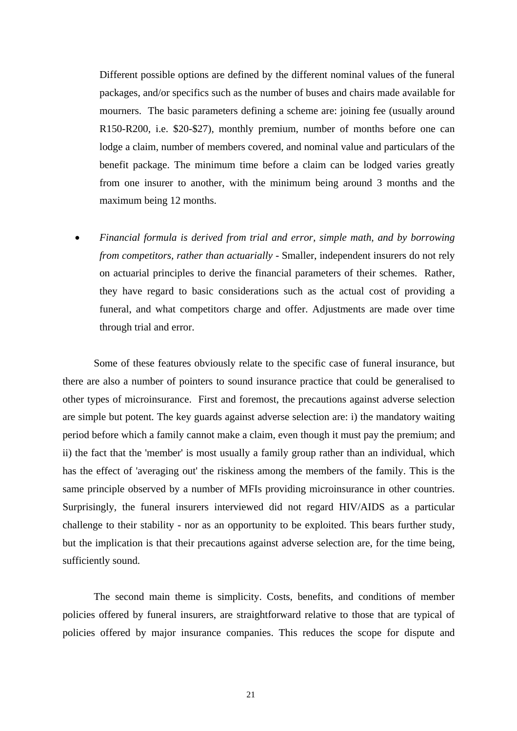Different possible options are defined by the different nominal values of the funeral packages, and/or specifics such as the number of buses and chairs made available for mourners. The basic parameters defining a scheme are: joining fee (usually around R150-R200, i.e. \$20-\$27), monthly premium, number of months before one can lodge a claim, number of members covered, and nominal value and particulars of the benefit package. The minimum time before a claim can be lodged varies greatly from one insurer to another, with the minimum being around 3 months and the maximum being 12 months.

• *Financial formula is derived from trial and error, simple math, and by borrowing from competitors, rather than actuarially - Smaller, independent insurers do not rely* on actuarial principles to derive the financial parameters of their schemes. Rather, they have regard to basic considerations such as the actual cost of providing a funeral, and what competitors charge and offer. Adjustments are made over time through trial and error.

Some of these features obviously relate to the specific case of funeral insurance, but there are also a number of pointers to sound insurance practice that could be generalised to other types of microinsurance. First and foremost, the precautions against adverse selection are simple but potent. The key guards against adverse selection are: i) the mandatory waiting period before which a family cannot make a claim, even though it must pay the premium; and ii) the fact that the 'member' is most usually a family group rather than an individual, which has the effect of 'averaging out' the riskiness among the members of the family. This is the same principle observed by a number of MFIs providing microinsurance in other countries. Surprisingly, the funeral insurers interviewed did not regard HIV/AIDS as a particular challenge to their stability - nor as an opportunity to be exploited. This bears further study, but the implication is that their precautions against adverse selection are, for the time being, sufficiently sound.

The second main theme is simplicity. Costs, benefits, and conditions of member policies offered by funeral insurers, are straightforward relative to those that are typical of policies offered by major insurance companies. This reduces the scope for dispute and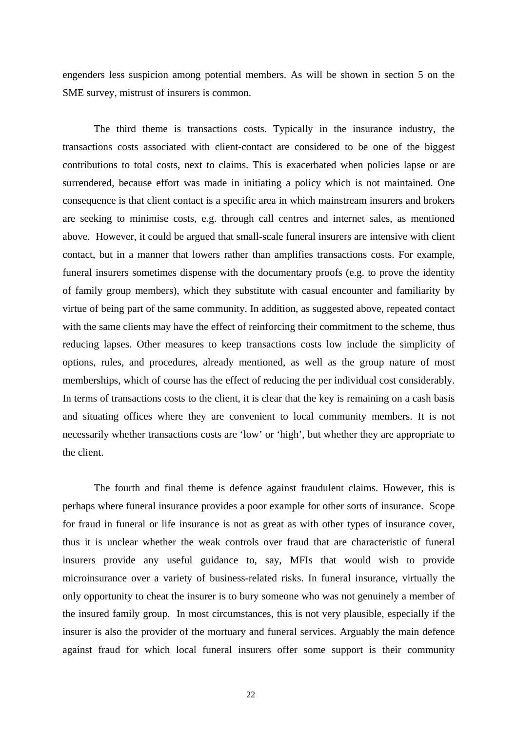engenders less suspicion among potential members. As will be shown in section 5 on the SME survey, mistrust of insurers is common.

The third theme is transactions costs. Typically in the insurance industry, the transactions costs associated with client-contact are considered to be one of the biggest contributions to total costs, next to claims. This is exacerbated when policies lapse or are surrendered, because effort was made in initiating a policy which is not maintained. One consequence is that client contact is a specific area in which mainstream insurers and brokers are seeking to minimise costs, e.g. through call centres and internet sales, as mentioned above. However, it could be argued that small-scale funeral insurers are intensive with client contact, but in a manner that lowers rather than amplifies transactions costs. For example, funeral insurers sometimes dispense with the documentary proofs (e.g. to prove the identity of family group members), which they substitute with casual encounter and familiarity by virtue of being part of the same community. In addition, as suggested above, repeated contact with the same clients may have the effect of reinforcing their commitment to the scheme, thus reducing lapses. Other measures to keep transactions costs low include the simplicity of options, rules, and procedures, already mentioned, as well as the group nature of most memberships, which of course has the effect of reducing the per individual cost considerably. In terms of transactions costs to the client, it is clear that the key is remaining on a cash basis and situating offices where they are convenient to local community members. It is not necessarily whether transactions costs are 'low' or 'high', but whether they are appropriate to the client.

The fourth and final theme is defence against fraudulent claims. However, this is perhaps where funeral insurance provides a poor example for other sorts of insurance. Scope for fraud in funeral or life insurance is not as great as with other types of insurance cover, thus it is unclear whether the weak controls over fraud that are characteristic of funeral insurers provide any useful guidance to, say, MFIs that would wish to provide microinsurance over a variety of business-related risks. In funeral insurance, virtually the only opportunity to cheat the insurer is to bury someone who was not genuinely a member of the insured family group. In most circumstances, this is not very plausible, especially if the insurer is also the provider of the mortuary and funeral services. Arguably the main defence against fraud for which local funeral insurers offer some support is their community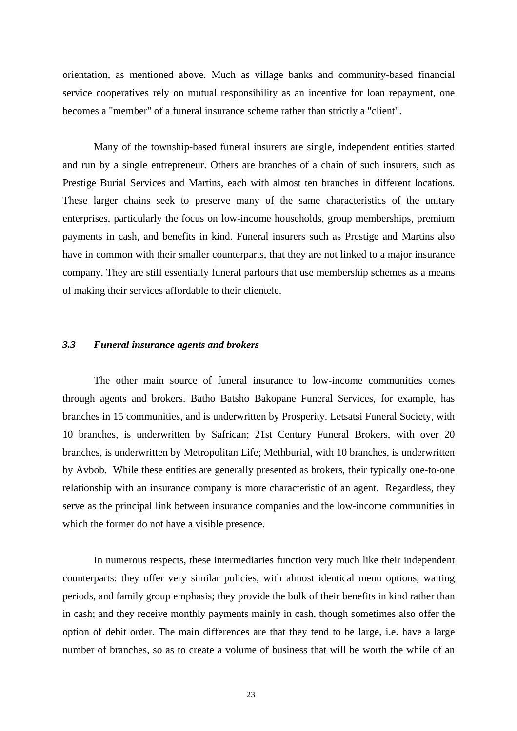orientation, as mentioned above. Much as village banks and community-based financial service cooperatives rely on mutual responsibility as an incentive for loan repayment, one becomes a "member" of a funeral insurance scheme rather than strictly a "client".

Many of the township-based funeral insurers are single, independent entities started and run by a single entrepreneur. Others are branches of a chain of such insurers, such as Prestige Burial Services and Martins, each with almost ten branches in different locations. These larger chains seek to preserve many of the same characteristics of the unitary enterprises, particularly the focus on low-income households, group memberships, premium payments in cash, and benefits in kind. Funeral insurers such as Prestige and Martins also have in common with their smaller counterparts, that they are not linked to a major insurance company. They are still essentially funeral parlours that use membership schemes as a means of making their services affordable to their clientele.

#### *3.3 Funeral insurance agents and brokers*

The other main source of funeral insurance to low-income communities comes through agents and brokers. Batho Batsho Bakopane Funeral Services, for example, has branches in 15 communities, and is underwritten by Prosperity. Letsatsi Funeral Society, with 10 branches, is underwritten by Safrican; 21st Century Funeral Brokers, with over 20 branches, is underwritten by Metropolitan Life; Methburial, with 10 branches, is underwritten by Avbob. While these entities are generally presented as brokers, their typically one-to-one relationship with an insurance company is more characteristic of an agent. Regardless, they serve as the principal link between insurance companies and the low-income communities in which the former do not have a visible presence.

In numerous respects, these intermediaries function very much like their independent counterparts: they offer very similar policies, with almost identical menu options, waiting periods, and family group emphasis; they provide the bulk of their benefits in kind rather than in cash; and they receive monthly payments mainly in cash, though sometimes also offer the option of debit order. The main differences are that they tend to be large, i.e. have a large number of branches, so as to create a volume of business that will be worth the while of an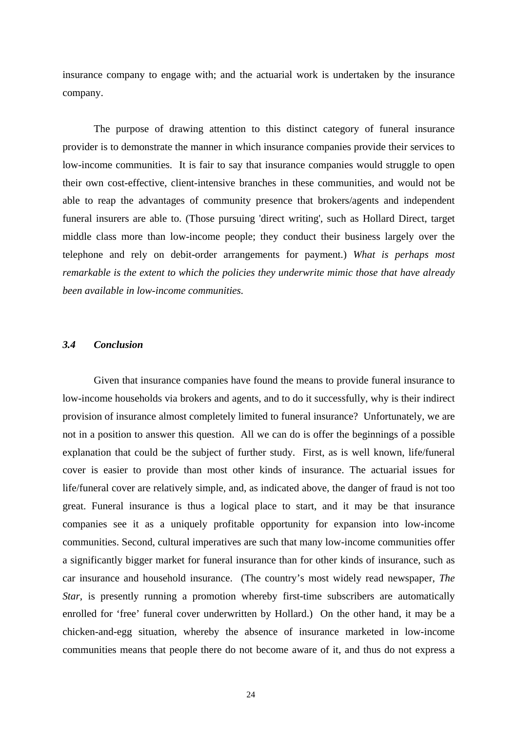insurance company to engage with; and the actuarial work is undertaken by the insurance company.

The purpose of drawing attention to this distinct category of funeral insurance provider is to demonstrate the manner in which insurance companies provide their services to low-income communities. It is fair to say that insurance companies would struggle to open their own cost-effective, client-intensive branches in these communities, and would not be able to reap the advantages of community presence that brokers/agents and independent funeral insurers are able to. (Those pursuing 'direct writing', such as Hollard Direct, target middle class more than low-income people; they conduct their business largely over the telephone and rely on debit-order arrangements for payment.) *What is perhaps most remarkable is the extent to which the policies they underwrite mimic those that have already been available in low-income communities.* 

#### *3.4 Conclusion*

Given that insurance companies have found the means to provide funeral insurance to low-income households via brokers and agents, and to do it successfully, why is their indirect provision of insurance almost completely limited to funeral insurance? Unfortunately, we are not in a position to answer this question. All we can do is offer the beginnings of a possible explanation that could be the subject of further study. First, as is well known, life/funeral cover is easier to provide than most other kinds of insurance. The actuarial issues for life/funeral cover are relatively simple, and, as indicated above, the danger of fraud is not too great. Funeral insurance is thus a logical place to start, and it may be that insurance companies see it as a uniquely profitable opportunity for expansion into low-income communities. Second, cultural imperatives are such that many low-income communities offer a significantly bigger market for funeral insurance than for other kinds of insurance, such as car insurance and household insurance. (The country's most widely read newspaper, *The Star*, is presently running a promotion whereby first-time subscribers are automatically enrolled for 'free' funeral cover underwritten by Hollard.) On the other hand, it may be a chicken-and-egg situation, whereby the absence of insurance marketed in low-income communities means that people there do not become aware of it, and thus do not express a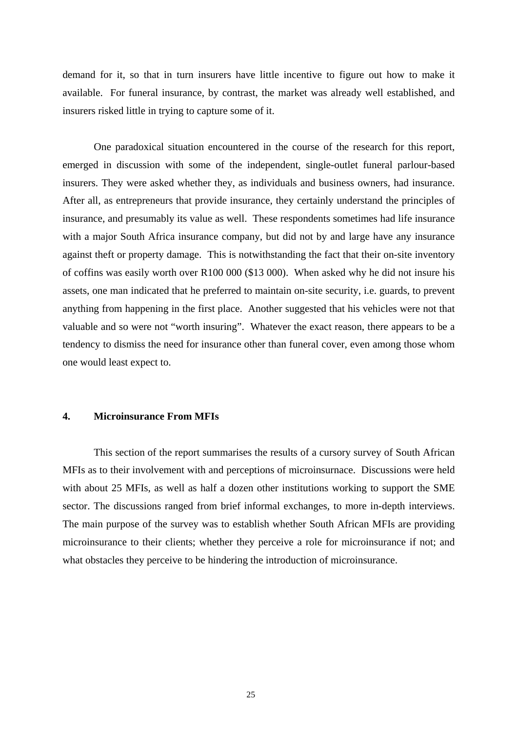demand for it, so that in turn insurers have little incentive to figure out how to make it available. For funeral insurance, by contrast, the market was already well established, and insurers risked little in trying to capture some of it.

One paradoxical situation encountered in the course of the research for this report, emerged in discussion with some of the independent, single-outlet funeral parlour-based insurers. They were asked whether they, as individuals and business owners, had insurance. After all, as entrepreneurs that provide insurance, they certainly understand the principles of insurance, and presumably its value as well. These respondents sometimes had life insurance with a major South Africa insurance company, but did not by and large have any insurance against theft or property damage. This is notwithstanding the fact that their on-site inventory of coffins was easily worth over R100 000 (\$13 000). When asked why he did not insure his assets, one man indicated that he preferred to maintain on-site security, i.e. guards, to prevent anything from happening in the first place. Another suggested that his vehicles were not that valuable and so were not "worth insuring". Whatever the exact reason, there appears to be a tendency to dismiss the need for insurance other than funeral cover, even among those whom one would least expect to.

#### **4. Microinsurance From MFIs**

This section of the report summarises the results of a cursory survey of South African MFIs as to their involvement with and perceptions of microinsurnace. Discussions were held with about 25 MFIs, as well as half a dozen other institutions working to support the SME sector. The discussions ranged from brief informal exchanges, to more in-depth interviews. The main purpose of the survey was to establish whether South African MFIs are providing microinsurance to their clients; whether they perceive a role for microinsurance if not; and what obstacles they perceive to be hindering the introduction of microinsurance.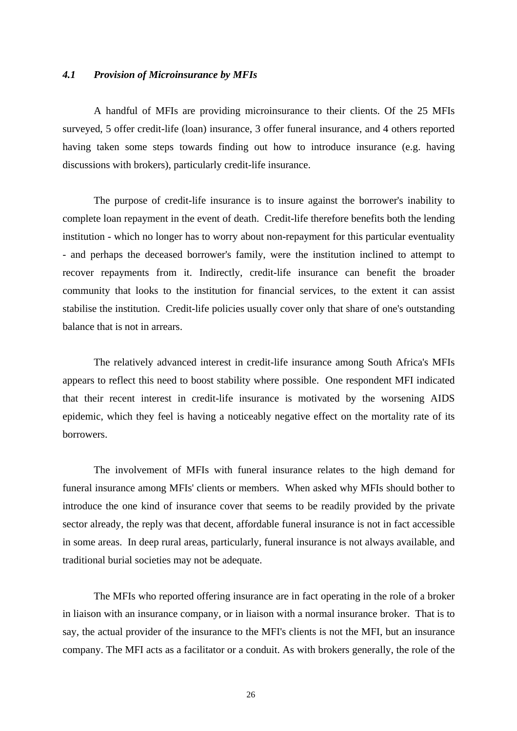#### *4.1 Provision of Microinsurance by MFIs*

A handful of MFIs are providing microinsurance to their clients. Of the 25 MFIs surveyed, 5 offer credit-life (loan) insurance, 3 offer funeral insurance, and 4 others reported having taken some steps towards finding out how to introduce insurance (e.g. having discussions with brokers), particularly credit-life insurance.

The purpose of credit-life insurance is to insure against the borrower's inability to complete loan repayment in the event of death. Credit-life therefore benefits both the lending institution - which no longer has to worry about non-repayment for this particular eventuality - and perhaps the deceased borrower's family, were the institution inclined to attempt to recover repayments from it. Indirectly, credit-life insurance can benefit the broader community that looks to the institution for financial services, to the extent it can assist stabilise the institution. Credit-life policies usually cover only that share of one's outstanding balance that is not in arrears.

The relatively advanced interest in credit-life insurance among South Africa's MFIs appears to reflect this need to boost stability where possible. One respondent MFI indicated that their recent interest in credit-life insurance is motivated by the worsening AIDS epidemic, which they feel is having a noticeably negative effect on the mortality rate of its borrowers.

The involvement of MFIs with funeral insurance relates to the high demand for funeral insurance among MFIs' clients or members. When asked why MFIs should bother to introduce the one kind of insurance cover that seems to be readily provided by the private sector already, the reply was that decent, affordable funeral insurance is not in fact accessible in some areas. In deep rural areas, particularly, funeral insurance is not always available, and traditional burial societies may not be adequate.

The MFIs who reported offering insurance are in fact operating in the role of a broker in liaison with an insurance company, or in liaison with a normal insurance broker. That is to say, the actual provider of the insurance to the MFI's clients is not the MFI, but an insurance company. The MFI acts as a facilitator or a conduit. As with brokers generally, the role of the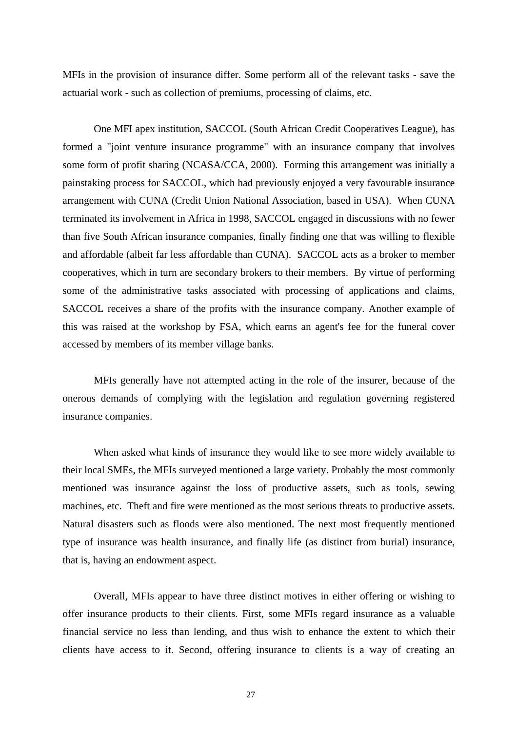MFIs in the provision of insurance differ. Some perform all of the relevant tasks - save the actuarial work - such as collection of premiums, processing of claims, etc.

One MFI apex institution, SACCOL (South African Credit Cooperatives League), has formed a "joint venture insurance programme" with an insurance company that involves some form of profit sharing (NCASA/CCA, 2000). Forming this arrangement was initially a painstaking process for SACCOL, which had previously enjoyed a very favourable insurance arrangement with CUNA (Credit Union National Association, based in USA). When CUNA terminated its involvement in Africa in 1998, SACCOL engaged in discussions with no fewer than five South African insurance companies, finally finding one that was willing to flexible and affordable (albeit far less affordable than CUNA). SACCOL acts as a broker to member cooperatives, which in turn are secondary brokers to their members. By virtue of performing some of the administrative tasks associated with processing of applications and claims, SACCOL receives a share of the profits with the insurance company. Another example of this was raised at the workshop by FSA, which earns an agent's fee for the funeral cover accessed by members of its member village banks.

MFIs generally have not attempted acting in the role of the insurer, because of the onerous demands of complying with the legislation and regulation governing registered insurance companies.

When asked what kinds of insurance they would like to see more widely available to their local SMEs, the MFIs surveyed mentioned a large variety. Probably the most commonly mentioned was insurance against the loss of productive assets, such as tools, sewing machines, etc. Theft and fire were mentioned as the most serious threats to productive assets. Natural disasters such as floods were also mentioned. The next most frequently mentioned type of insurance was health insurance, and finally life (as distinct from burial) insurance, that is, having an endowment aspect.

Overall, MFIs appear to have three distinct motives in either offering or wishing to offer insurance products to their clients. First, some MFIs regard insurance as a valuable financial service no less than lending, and thus wish to enhance the extent to which their clients have access to it. Second, offering insurance to clients is a way of creating an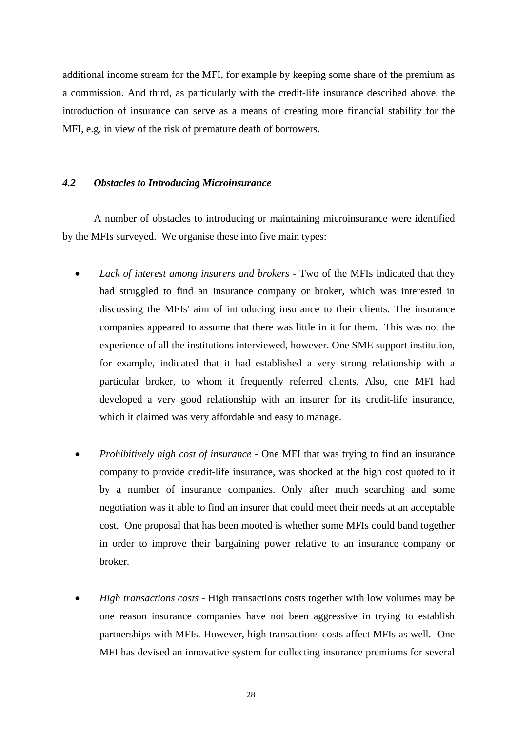additional income stream for the MFI, for example by keeping some share of the premium as a commission. And third, as particularly with the credit-life insurance described above, the introduction of insurance can serve as a means of creating more financial stability for the MFI, e.g. in view of the risk of premature death of borrowers.

#### *4.2 Obstacles to Introducing Microinsurance*

A number of obstacles to introducing or maintaining microinsurance were identified by the MFIs surveyed. We organise these into five main types:

- *Lack of interest among insurers and brokers* Two of the MFIs indicated that they had struggled to find an insurance company or broker, which was interested in discussing the MFIs' aim of introducing insurance to their clients. The insurance companies appeared to assume that there was little in it for them. This was not the experience of all the institutions interviewed, however. One SME support institution, for example, indicated that it had established a very strong relationship with a particular broker, to whom it frequently referred clients. Also, one MFI had developed a very good relationship with an insurer for its credit-life insurance, which it claimed was very affordable and easy to manage.
- *Prohibitively high cost of insurance* One MFI that was trying to find an insurance company to provide credit-life insurance, was shocked at the high cost quoted to it by a number of insurance companies. Only after much searching and some negotiation was it able to find an insurer that could meet their needs at an acceptable cost. One proposal that has been mooted is whether some MFIs could band together in order to improve their bargaining power relative to an insurance company or broker.
- *High transactions costs* High transactions costs together with low volumes may be one reason insurance companies have not been aggressive in trying to establish partnerships with MFIs. However, high transactions costs affect MFIs as well. One MFI has devised an innovative system for collecting insurance premiums for several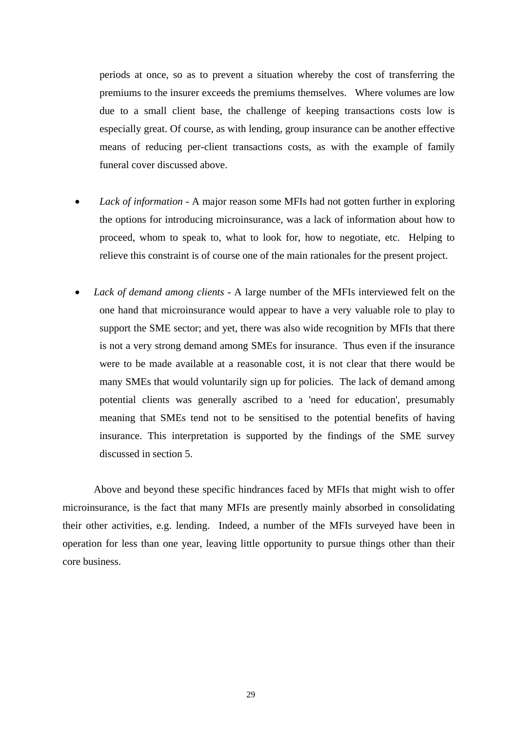periods at once, so as to prevent a situation whereby the cost of transferring the premiums to the insurer exceeds the premiums themselves. Where volumes are low due to a small client base, the challenge of keeping transactions costs low is especially great. Of course, as with lending, group insurance can be another effective means of reducing per-client transactions costs, as with the example of family funeral cover discussed above.

- *Lack of information* A major reason some MFIs had not gotten further in exploring the options for introducing microinsurance, was a lack of information about how to proceed, whom to speak to, what to look for, how to negotiate, etc. Helping to relieve this constraint is of course one of the main rationales for the present project.
- *Lack of demand among clients* A large number of the MFIs interviewed felt on the one hand that microinsurance would appear to have a very valuable role to play to support the SME sector; and yet, there was also wide recognition by MFIs that there is not a very strong demand among SMEs for insurance. Thus even if the insurance were to be made available at a reasonable cost, it is not clear that there would be many SMEs that would voluntarily sign up for policies. The lack of demand among potential clients was generally ascribed to a 'need for education', presumably meaning that SMEs tend not to be sensitised to the potential benefits of having insurance. This interpretation is supported by the findings of the SME survey discussed in section 5.

Above and beyond these specific hindrances faced by MFIs that might wish to offer microinsurance, is the fact that many MFIs are presently mainly absorbed in consolidating their other activities, e.g. lending. Indeed, a number of the MFIs surveyed have been in operation for less than one year, leaving little opportunity to pursue things other than their core business.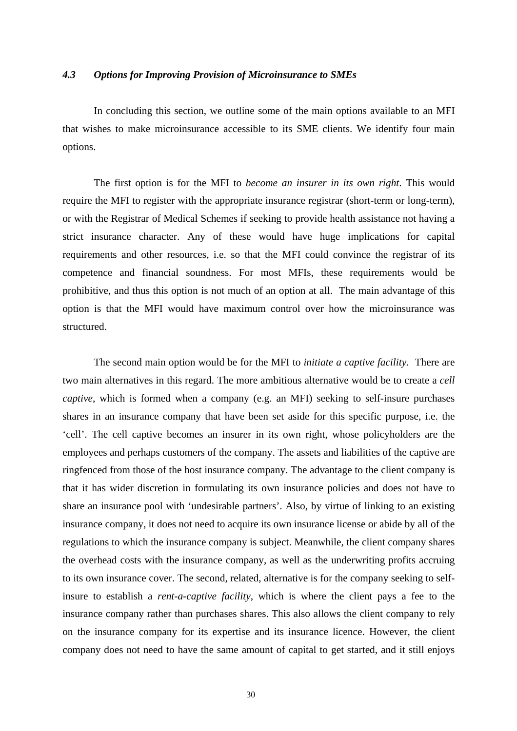#### *4.3 Options for Improving Provision of Microinsurance to SMEs*

In concluding this section, we outline some of the main options available to an MFI that wishes to make microinsurance accessible to its SME clients. We identify four main options.

The first option is for the MFI to *become an insurer in its own right*. This would require the MFI to register with the appropriate insurance registrar (short-term or long-term), or with the Registrar of Medical Schemes if seeking to provide health assistance not having a strict insurance character. Any of these would have huge implications for capital requirements and other resources, i.e. so that the MFI could convince the registrar of its competence and financial soundness. For most MFIs, these requirements would be prohibitive, and thus this option is not much of an option at all. The main advantage of this option is that the MFI would have maximum control over how the microinsurance was structured.

The second main option would be for the MFI to *initiate a captive facility.* There are two main alternatives in this regard. The more ambitious alternative would be to create a *cell captive*, which is formed when a company (e.g. an MFI) seeking to self-insure purchases shares in an insurance company that have been set aside for this specific purpose, i.e. the 'cell'. The cell captive becomes an insurer in its own right, whose policyholders are the employees and perhaps customers of the company. The assets and liabilities of the captive are ringfenced from those of the host insurance company. The advantage to the client company is that it has wider discretion in formulating its own insurance policies and does not have to share an insurance pool with 'undesirable partners'. Also, by virtue of linking to an existing insurance company, it does not need to acquire its own insurance license or abide by all of the regulations to which the insurance company is subject. Meanwhile, the client company shares the overhead costs with the insurance company, as well as the underwriting profits accruing to its own insurance cover. The second, related, alternative is for the company seeking to selfinsure to establish a *rent-a-captive facility*, which is where the client pays a fee to the insurance company rather than purchases shares. This also allows the client company to rely on the insurance company for its expertise and its insurance licence. However, the client company does not need to have the same amount of capital to get started, and it still enjoys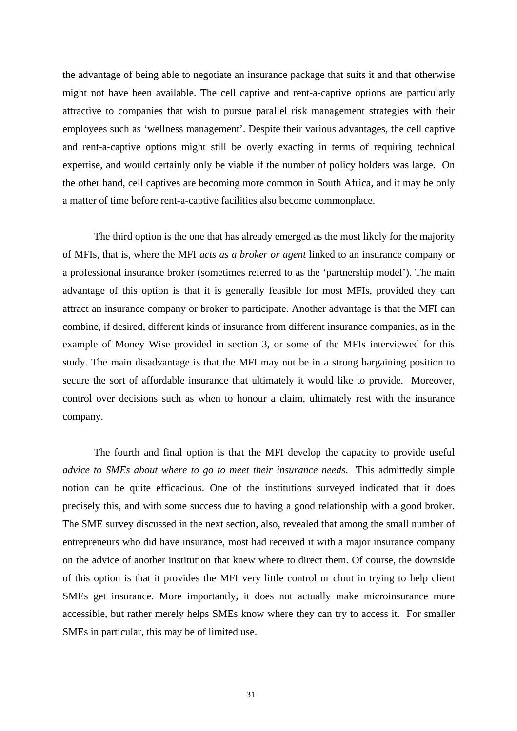the advantage of being able to negotiate an insurance package that suits it and that otherwise might not have been available. The cell captive and rent-a-captive options are particularly attractive to companies that wish to pursue parallel risk management strategies with their employees such as 'wellness management'. Despite their various advantages, the cell captive and rent-a-captive options might still be overly exacting in terms of requiring technical expertise, and would certainly only be viable if the number of policy holders was large. On the other hand, cell captives are becoming more common in South Africa, and it may be only a matter of time before rent-a-captive facilities also become commonplace.

The third option is the one that has already emerged as the most likely for the majority of MFIs, that is, where the MFI *acts as a broker or agent* linked to an insurance company or a professional insurance broker (sometimes referred to as the 'partnership model'). The main advantage of this option is that it is generally feasible for most MFIs, provided they can attract an insurance company or broker to participate. Another advantage is that the MFI can combine, if desired, different kinds of insurance from different insurance companies, as in the example of Money Wise provided in section 3, or some of the MFIs interviewed for this study. The main disadvantage is that the MFI may not be in a strong bargaining position to secure the sort of affordable insurance that ultimately it would like to provide. Moreover, control over decisions such as when to honour a claim, ultimately rest with the insurance company.

The fourth and final option is that the MFI develop the capacity to provide useful *advice to SMEs about where to go to meet their insurance needs*. This admittedly simple notion can be quite efficacious. One of the institutions surveyed indicated that it does precisely this, and with some success due to having a good relationship with a good broker. The SME survey discussed in the next section, also, revealed that among the small number of entrepreneurs who did have insurance, most had received it with a major insurance company on the advice of another institution that knew where to direct them. Of course, the downside of this option is that it provides the MFI very little control or clout in trying to help client SMEs get insurance. More importantly, it does not actually make microinsurance more accessible, but rather merely helps SMEs know where they can try to access it. For smaller SMEs in particular, this may be of limited use.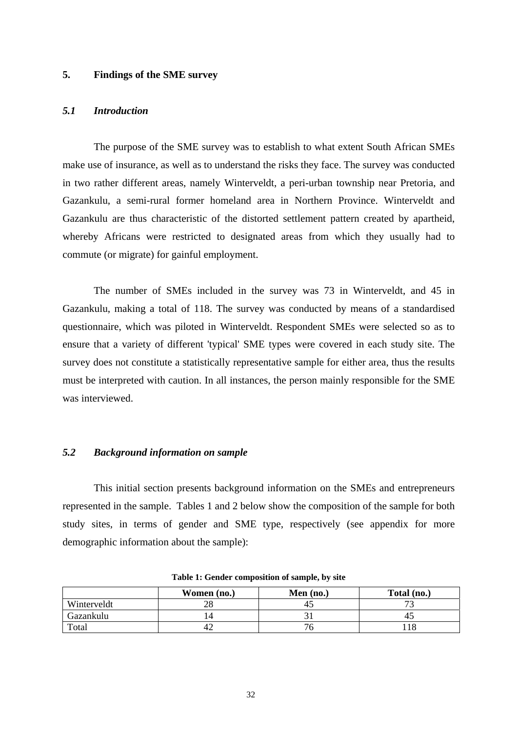#### **5. Findings of the SME survey**

#### *5.1 Introduction*

The purpose of the SME survey was to establish to what extent South African SMEs make use of insurance, as well as to understand the risks they face. The survey was conducted in two rather different areas, namely Winterveldt, a peri-urban township near Pretoria, and Gazankulu, a semi-rural former homeland area in Northern Province. Winterveldt and Gazankulu are thus characteristic of the distorted settlement pattern created by apartheid, whereby Africans were restricted to designated areas from which they usually had to commute (or migrate) for gainful employment.

The number of SMEs included in the survey was 73 in Winterveldt, and 45 in Gazankulu, making a total of 118. The survey was conducted by means of a standardised questionnaire, which was piloted in Winterveldt. Respondent SMEs were selected so as to ensure that a variety of different 'typical' SME types were covered in each study site. The survey does not constitute a statistically representative sample for either area, thus the results must be interpreted with caution. In all instances, the person mainly responsible for the SME was interviewed.

#### *5.2 Background information on sample*

This initial section presents background information on the SMEs and entrepreneurs represented in the sample. Tables 1 and 2 below show the composition of the sample for both study sites, in terms of gender and SME type, respectively (see appendix for more demographic information about the sample):

|             | Women (no.) | Men $(no.)$ | Total (no.) |
|-------------|-------------|-------------|-------------|
| Winterveldt |             | 4.          |             |
| Gazankulu   |             |             |             |
| Total       |             |             |             |

**Table 1: Gender composition of sample, by site**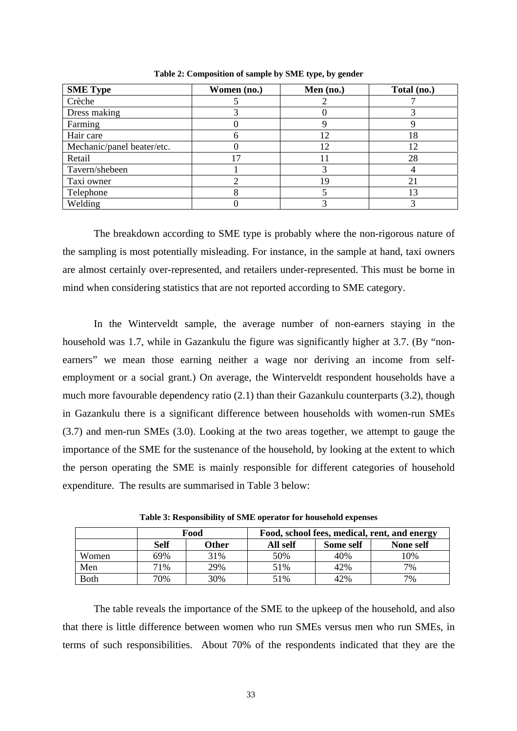| <b>SME Type</b>            | Women (no.) | Men (no.) | Total (no.) |
|----------------------------|-------------|-----------|-------------|
| Crèche                     |             |           |             |
| Dress making               |             |           |             |
| Farming                    |             |           |             |
| Hair care                  | h           | 12        | 18          |
| Mechanic/panel beater/etc. |             | 12        | 12          |
| Retail                     |             |           | 28          |
| Tavern/shebeen             |             |           |             |
| Taxi owner                 |             | 19        | 21          |
| Telephone                  |             |           | 13          |
| Welding                    |             |           |             |

**Table 2: Composition of sample by SME type, by gender**

The breakdown according to SME type is probably where the non-rigorous nature of the sampling is most potentially misleading. For instance, in the sample at hand, taxi owners are almost certainly over-represented, and retailers under-represented. This must be borne in mind when considering statistics that are not reported according to SME category.

In the Winterveldt sample, the average number of non-earners staying in the household was 1.7, while in Gazankulu the figure was significantly higher at 3.7. (By "nonearners" we mean those earning neither a wage nor deriving an income from selfemployment or a social grant.) On average, the Winterveldt respondent households have a much more favourable dependency ratio (2.1) than their Gazankulu counterparts (3.2), though in Gazankulu there is a significant difference between households with women-run SMEs (3.7) and men-run SMEs (3.0). Looking at the two areas together, we attempt to gauge the importance of the SME for the sustenance of the household, by looking at the extent to which the person operating the SME is mainly responsible for different categories of household expenditure. The results are summarised in Table 3 below:

|             |             | Food  | Food, school fees, medical, rent, and energy |           |           |
|-------------|-------------|-------|----------------------------------------------|-----------|-----------|
|             | <b>Self</b> | Other | All self                                     | Some self | None self |
| Women       | 69%         | 31%   | 50%                                          | 40%       | 10%       |
| Men         | 71%         | 29%   | 51%                                          | 42%       | 7%        |
| <b>Both</b> | 70%         | 30%   | 51%                                          | 42%       | 7%        |

**Table 3: Responsibility of SME operator for household expenses**

The table reveals the importance of the SME to the upkeep of the household, and also that there is little difference between women who run SMEs versus men who run SMEs, in terms of such responsibilities. About 70% of the respondents indicated that they are the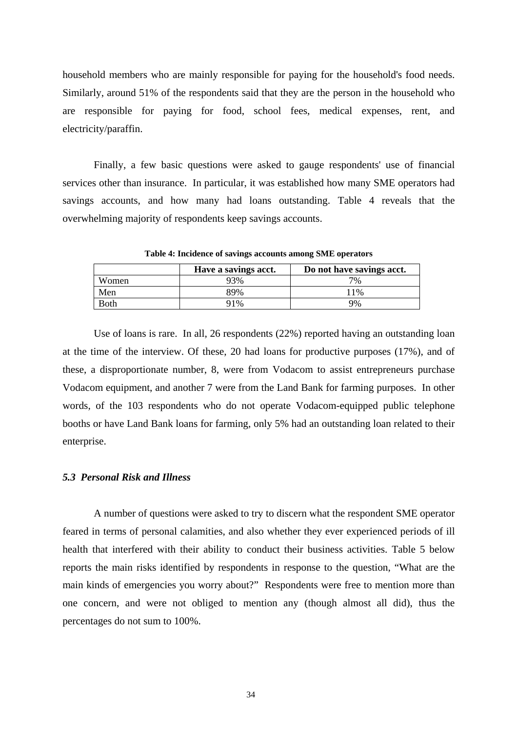household members who are mainly responsible for paying for the household's food needs. Similarly, around 51% of the respondents said that they are the person in the household who are responsible for paying for food, school fees, medical expenses, rent, and electricity/paraffin.

Finally, a few basic questions were asked to gauge respondents' use of financial services other than insurance. In particular, it was established how many SME operators had savings accounts, and how many had loans outstanding. Table 4 reveals that the overwhelming majority of respondents keep savings accounts.

**Table 4: Incidence of savings accounts among SME operators** Have a savings acct. <br> **Do not have savings acct.** Women 1 93% 7% Men 11%

Both 91% 99% Use of loans is rare. In all, 26 respondents (22%) reported having an outstanding loan at the time of the interview. Of these, 20 had loans for productive purposes (17%), and of

these, a disproportionate number, 8, were from Vodacom to assist entrepreneurs purchase Vodacom equipment, and another 7 were from the Land Bank for farming purposes. In other words, of the 103 respondents who do not operate Vodacom-equipped public telephone booths or have Land Bank loans for farming, only 5% had an outstanding loan related to their enterprise.

#### *5.3 Personal Risk and Illness*

A number of questions were asked to try to discern what the respondent SME operator feared in terms of personal calamities, and also whether they ever experienced periods of ill health that interfered with their ability to conduct their business activities. Table 5 below reports the main risks identified by respondents in response to the question, "What are the main kinds of emergencies you worry about?" Respondents were free to mention more than one concern, and were not obliged to mention any (though almost all did), thus the percentages do not sum to 100%.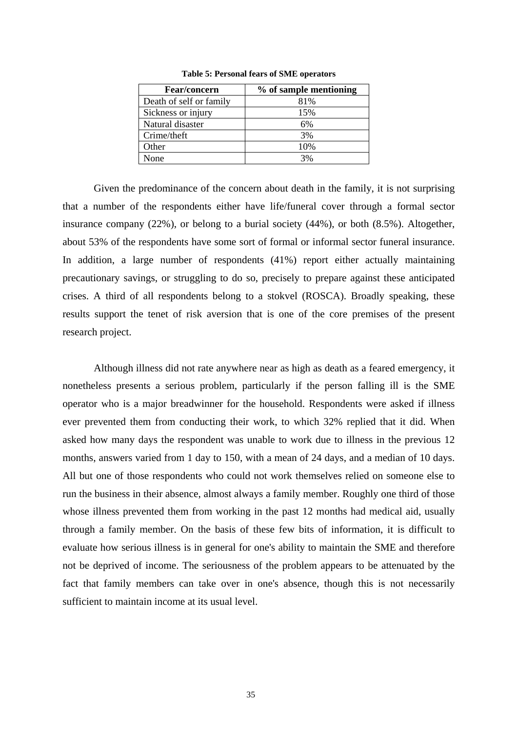| <b>Fear/concern</b>     | % of sample mentioning |
|-------------------------|------------------------|
| Death of self or family | 81%                    |
| Sickness or injury      | 15%                    |
| Natural disaster        | 6%                     |
| Crime/theft             | 3%                     |
| Other                   | 10%                    |
| None                    | 3%                     |

**Table 5: Personal fears of SME operators**

Given the predominance of the concern about death in the family, it is not surprising that a number of the respondents either have life/funeral cover through a formal sector insurance company (22%), or belong to a burial society (44%), or both (8.5%). Altogether, about 53% of the respondents have some sort of formal or informal sector funeral insurance. In addition, a large number of respondents (41%) report either actually maintaining precautionary savings, or struggling to do so, precisely to prepare against these anticipated crises. A third of all respondents belong to a stokvel (ROSCA). Broadly speaking, these results support the tenet of risk aversion that is one of the core premises of the present research project.

Although illness did not rate anywhere near as high as death as a feared emergency, it nonetheless presents a serious problem, particularly if the person falling ill is the SME operator who is a major breadwinner for the household. Respondents were asked if illness ever prevented them from conducting their work, to which 32% replied that it did. When asked how many days the respondent was unable to work due to illness in the previous 12 months, answers varied from 1 day to 150, with a mean of 24 days, and a median of 10 days. All but one of those respondents who could not work themselves relied on someone else to run the business in their absence, almost always a family member. Roughly one third of those whose illness prevented them from working in the past 12 months had medical aid, usually through a family member. On the basis of these few bits of information, it is difficult to evaluate how serious illness is in general for one's ability to maintain the SME and therefore not be deprived of income. The seriousness of the problem appears to be attenuated by the fact that family members can take over in one's absence, though this is not necessarily sufficient to maintain income at its usual level.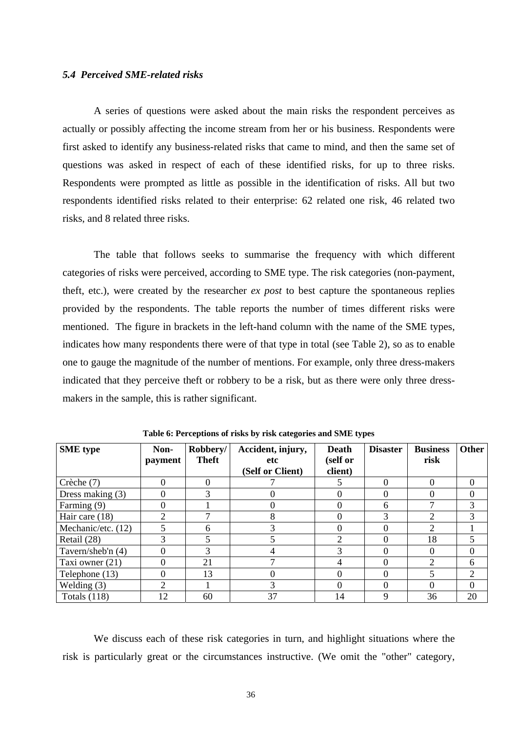#### *5.4 Perceived SME-related risks*

A series of questions were asked about the main risks the respondent perceives as actually or possibly affecting the income stream from her or his business. Respondents were first asked to identify any business-related risks that came to mind, and then the same set of questions was asked in respect of each of these identified risks, for up to three risks. Respondents were prompted as little as possible in the identification of risks. All but two respondents identified risks related to their enterprise: 62 related one risk, 46 related two risks, and 8 related three risks.

The table that follows seeks to summarise the frequency with which different categories of risks were perceived, according to SME type. The risk categories (non-payment, theft, etc.), were created by the researcher *ex post* to best capture the spontaneous replies provided by the respondents. The table reports the number of times different risks were mentioned. The figure in brackets in the left-hand column with the name of the SME types, indicates how many respondents there were of that type in total (see Table 2), so as to enable one to gauge the magnitude of the number of mentions. For example, only three dress-makers indicated that they perceive theft or robbery to be a risk, but as there were only three dressmakers in the sample, this is rather significant.

| <b>SME</b> type    | Non-<br>payment | Robbery/<br><b>Theft</b> | Accident, injury,<br>etc<br>(Self or Client) | Death<br>(self or<br>client) | <b>Disaster</b> | <b>Business</b><br>risk     | <b>Other</b> |
|--------------------|-----------------|--------------------------|----------------------------------------------|------------------------------|-----------------|-----------------------------|--------------|
| Crèche (7)         | $\theta$        | 0                        |                                              |                              | 0               | $\Omega$                    | $\theta$     |
| Dress making $(3)$ | $\theta$        | 3                        |                                              |                              |                 |                             | 0            |
| Farming (9)        | 0               |                          |                                              |                              | 6               |                             |              |
| Hair care $(18)$   | $\overline{2}$  |                          | 8                                            | 0                            | 3               | 2                           |              |
| Mechanic/etc. (12) | 5               | 6                        |                                              |                              |                 | $\mathcal{D}_{\cdot}$       |              |
| Retail (28)        | 3               | 5                        |                                              | ↑                            | 0               | 18                          |              |
| Tavern/sheb'n (4)  | 0               | 3                        |                                              | ◠                            |                 |                             | 0            |
| Taxi owner (21)    | $\theta$        | 21                       |                                              | 4                            |                 | $\mathcal{D}_{\mathcal{L}}$ | 6            |
| Telephone (13)     | 0               | 13                       |                                              |                              |                 |                             |              |
| Welding $(3)$      | 2               |                          | 3                                            | 0                            |                 | 0                           | $\theta$     |
| Totals $(118)$     | 12              | 60                       | 37                                           | 14                           | 9               | 36                          | 20           |

**Table 6: Perceptions of risks by risk categories and SME types**

We discuss each of these risk categories in turn, and highlight situations where the risk is particularly great or the circumstances instructive. (We omit the "other" category,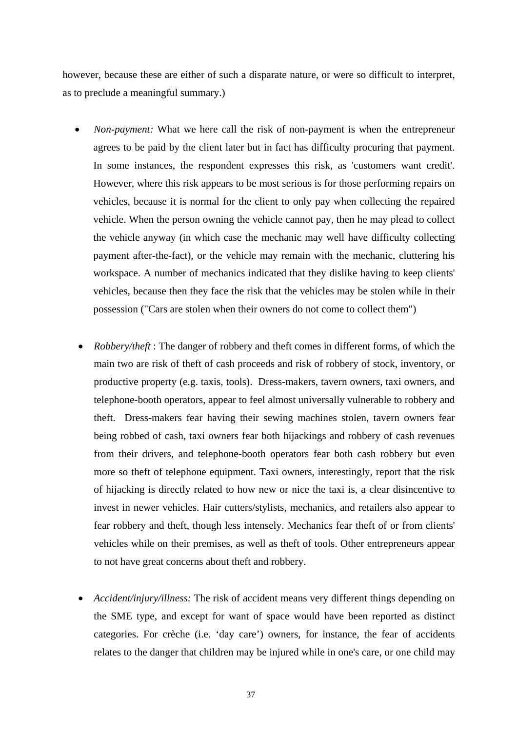however, because these are either of such a disparate nature, or were so difficult to interpret, as to preclude a meaningful summary.)

- *Non-payment:* What we here call the risk of non-payment is when the entrepreneur agrees to be paid by the client later but in fact has difficulty procuring that payment. In some instances, the respondent expresses this risk, as 'customers want credit'. However, where this risk appears to be most serious is for those performing repairs on vehicles, because it is normal for the client to only pay when collecting the repaired vehicle. When the person owning the vehicle cannot pay, then he may plead to collect the vehicle anyway (in which case the mechanic may well have difficulty collecting payment after-the-fact), or the vehicle may remain with the mechanic, cluttering his workspace. A number of mechanics indicated that they dislike having to keep clients' vehicles, because then they face the risk that the vehicles may be stolen while in their possession ("Cars are stolen when their owners do not come to collect them")
- *Robbery/theft* : The danger of robbery and theft comes in different forms, of which the main two are risk of theft of cash proceeds and risk of robbery of stock, inventory, or productive property (e.g. taxis, tools). Dress-makers, tavern owners, taxi owners, and telephone-booth operators, appear to feel almost universally vulnerable to robbery and theft. Dress-makers fear having their sewing machines stolen, tavern owners fear being robbed of cash, taxi owners fear both hijackings and robbery of cash revenues from their drivers, and telephone-booth operators fear both cash robbery but even more so theft of telephone equipment. Taxi owners, interestingly, report that the risk of hijacking is directly related to how new or nice the taxi is, a clear disincentive to invest in newer vehicles. Hair cutters/stylists, mechanics, and retailers also appear to fear robbery and theft, though less intensely. Mechanics fear theft of or from clients' vehicles while on their premises, as well as theft of tools. Other entrepreneurs appear to not have great concerns about theft and robbery.
- *Accident/injury/illness:* The risk of accident means very different things depending on the SME type, and except for want of space would have been reported as distinct categories. For crèche (i.e. 'day care') owners, for instance, the fear of accidents relates to the danger that children may be injured while in one's care, or one child may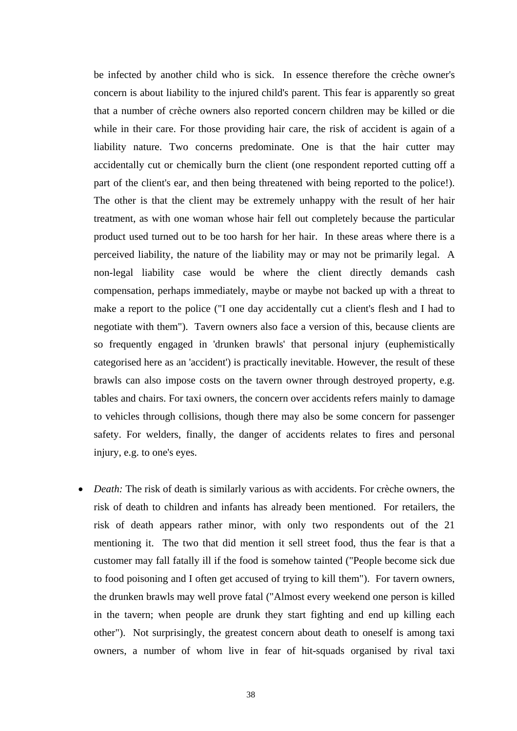be infected by another child who is sick. In essence therefore the crèche owner's concern is about liability to the injured child's parent. This fear is apparently so great that a number of crèche owners also reported concern children may be killed or die while in their care. For those providing hair care, the risk of accident is again of a liability nature. Two concerns predominate. One is that the hair cutter may accidentally cut or chemically burn the client (one respondent reported cutting off a part of the client's ear, and then being threatened with being reported to the police!). The other is that the client may be extremely unhappy with the result of her hair treatment, as with one woman whose hair fell out completely because the particular product used turned out to be too harsh for her hair. In these areas where there is a perceived liability, the nature of the liability may or may not be primarily legal. A non-legal liability case would be where the client directly demands cash compensation, perhaps immediately, maybe or maybe not backed up with a threat to make a report to the police ("I one day accidentally cut a client's flesh and I had to negotiate with them"). Tavern owners also face a version of this, because clients are so frequently engaged in 'drunken brawls' that personal injury (euphemistically categorised here as an 'accident') is practically inevitable. However, the result of these brawls can also impose costs on the tavern owner through destroyed property, e.g. tables and chairs. For taxi owners, the concern over accidents refers mainly to damage to vehicles through collisions, though there may also be some concern for passenger safety. For welders, finally, the danger of accidents relates to fires and personal injury, e.g. to one's eyes.

• *Death:* The risk of death is similarly various as with accidents. For crèche owners, the risk of death to children and infants has already been mentioned. For retailers, the risk of death appears rather minor, with only two respondents out of the 21 mentioning it. The two that did mention it sell street food, thus the fear is that a customer may fall fatally ill if the food is somehow tainted ("People become sick due to food poisoning and I often get accused of trying to kill them"). For tavern owners, the drunken brawls may well prove fatal ("Almost every weekend one person is killed in the tavern; when people are drunk they start fighting and end up killing each other"). Not surprisingly, the greatest concern about death to oneself is among taxi owners, a number of whom live in fear of hit-squads organised by rival taxi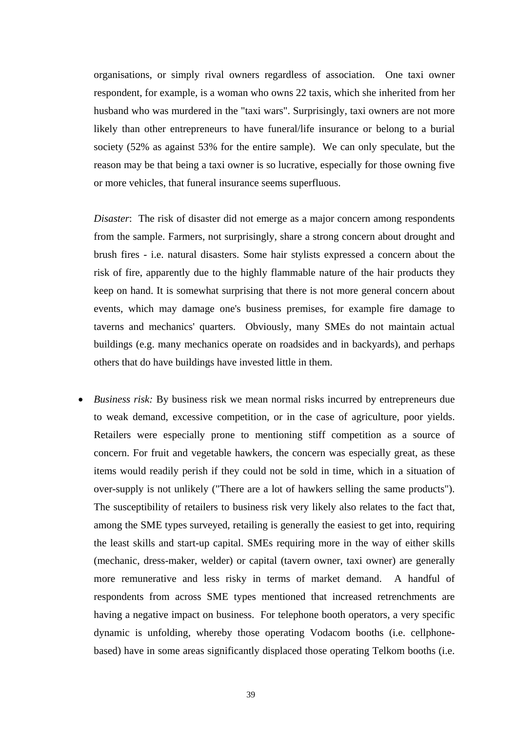organisations, or simply rival owners regardless of association. One taxi owner respondent, for example, is a woman who owns 22 taxis, which she inherited from her husband who was murdered in the "taxi wars". Surprisingly, taxi owners are not more likely than other entrepreneurs to have funeral/life insurance or belong to a burial society (52% as against 53% for the entire sample). We can only speculate, but the reason may be that being a taxi owner is so lucrative, especially for those owning five or more vehicles, that funeral insurance seems superfluous.

*Disaster*: The risk of disaster did not emerge as a major concern among respondents from the sample. Farmers, not surprisingly, share a strong concern about drought and brush fires - i.e. natural disasters. Some hair stylists expressed a concern about the risk of fire, apparently due to the highly flammable nature of the hair products they keep on hand. It is somewhat surprising that there is not more general concern about events, which may damage one's business premises, for example fire damage to taverns and mechanics' quarters. Obviously, many SMEs do not maintain actual buildings (e.g. many mechanics operate on roadsides and in backyards), and perhaps others that do have buildings have invested little in them.

• *Business risk:* By business risk we mean normal risks incurred by entrepreneurs due to weak demand, excessive competition, or in the case of agriculture, poor yields. Retailers were especially prone to mentioning stiff competition as a source of concern. For fruit and vegetable hawkers, the concern was especially great, as these items would readily perish if they could not be sold in time, which in a situation of over-supply is not unlikely ("There are a lot of hawkers selling the same products"). The susceptibility of retailers to business risk very likely also relates to the fact that, among the SME types surveyed, retailing is generally the easiest to get into, requiring the least skills and start-up capital. SMEs requiring more in the way of either skills (mechanic, dress-maker, welder) or capital (tavern owner, taxi owner) are generally more remunerative and less risky in terms of market demand. A handful of respondents from across SME types mentioned that increased retrenchments are having a negative impact on business. For telephone booth operators, a very specific dynamic is unfolding, whereby those operating Vodacom booths (i.e. cellphonebased) have in some areas significantly displaced those operating Telkom booths (i.e.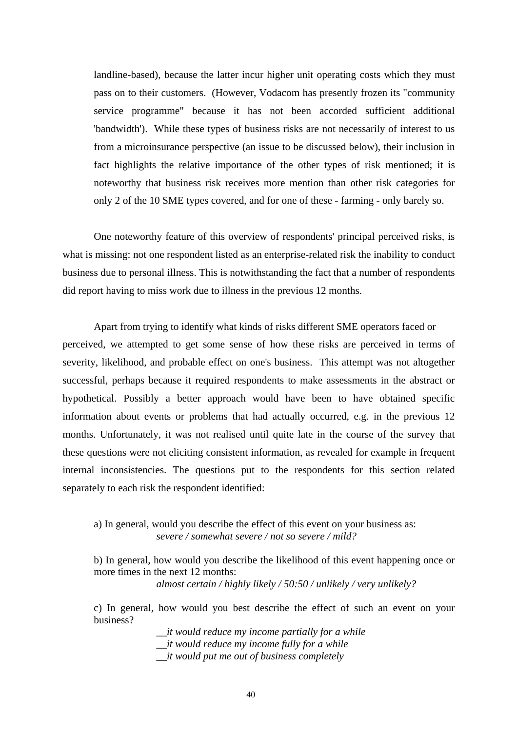landline-based), because the latter incur higher unit operating costs which they must pass on to their customers. (However, Vodacom has presently frozen its "community service programme" because it has not been accorded sufficient additional 'bandwidth'). While these types of business risks are not necessarily of interest to us from a microinsurance perspective (an issue to be discussed below), their inclusion in fact highlights the relative importance of the other types of risk mentioned; it is noteworthy that business risk receives more mention than other risk categories for only 2 of the 10 SME types covered, and for one of these - farming - only barely so.

One noteworthy feature of this overview of respondents' principal perceived risks, is what is missing: not one respondent listed as an enterprise-related risk the inability to conduct business due to personal illness. This is notwithstanding the fact that a number of respondents did report having to miss work due to illness in the previous 12 months.

Apart from trying to identify what kinds of risks different SME operators faced or perceived, we attempted to get some sense of how these risks are perceived in terms of severity, likelihood, and probable effect on one's business. This attempt was not altogether successful, perhaps because it required respondents to make assessments in the abstract or hypothetical. Possibly a better approach would have been to have obtained specific information about events or problems that had actually occurred, e.g. in the previous 12 months. Unfortunately, it was not realised until quite late in the course of the survey that these questions were not eliciting consistent information, as revealed for example in frequent internal inconsistencies. The questions put to the respondents for this section related separately to each risk the respondent identified:

#### a) In general, would you describe the effect of this event on your business as: *severe / somewhat severe / not so severe / mild?*

b) In general, how would you describe the likelihood of this event happening once or more times in the next 12 months:

*almost certain / highly likely / 50:50 / unlikely / very unlikely?* 

c) In general, how would you best describe the effect of such an event on your business?

> *\_\_it would reduce my income partially for a while \_\_it would reduce my income fully for a while \_\_it would put me out of business completely*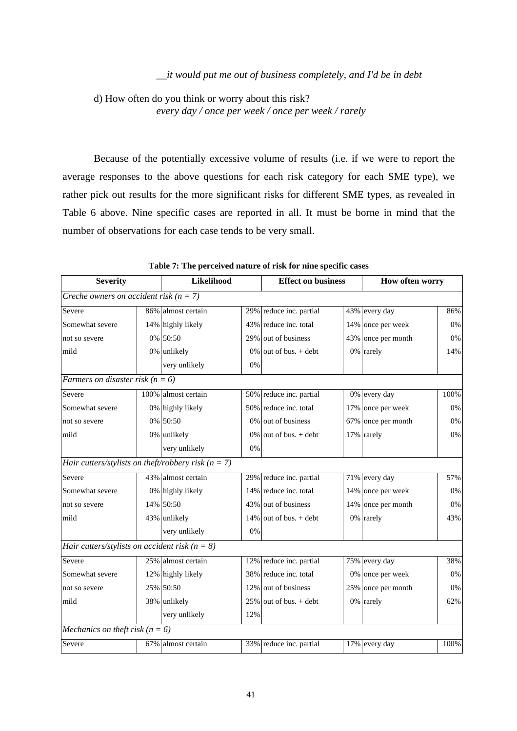#### *\_\_it would put me out of business completely, and I'd be in debt*

d) How often do you think or worry about this risk? *every day / once per week / once per week / rarely* 

Because of the potentially excessive volume of results (i.e. if we were to report the average responses to the above questions for each risk category for each SME type), we rather pick out results for the more significant risks for different SME types, as revealed in Table 6 above. Nine specific cases are reported in all. It must be borne in mind that the number of observations for each case tends to be very small.

| <b>Severity</b>                                       | Likelihood          |     | <b>Effect on business</b> |  | How often worry    |       |
|-------------------------------------------------------|---------------------|-----|---------------------------|--|--------------------|-------|
| Creche owners on accident risk ( $n = 7$ )            |                     |     |                           |  |                    |       |
| Severe                                                | 86% almost certain  |     | 29% reduce inc. partial   |  | 43% every day      | 86%   |
| Somewhat severe                                       | 14% highly likely   |     | 43% reduce inc. total     |  | 14% once per week  | 0%    |
| not so severe                                         | 0% 50:50            |     | 29% out of business       |  | 43% once per month | 0%    |
| mild                                                  | 0% unlikely         |     | $0\%$ out of bus. + debt  |  | 0% rarely          | 14%   |
|                                                       | very unlikely       | 0%  |                           |  |                    |       |
| Farmers on disaster risk ( $n = 6$ )                  |                     |     |                           |  |                    |       |
| Severe                                                | 100% almost certain |     | 50% reduce inc. partial   |  | 0% every day       | 100%  |
| Somewhat severe                                       | 0% highly likely    |     | 50% reduce inc. total     |  | 17% once per week  | 0%    |
| not so severe                                         | 0% 50:50            |     | 0% out of business        |  | 67% once per month | 0%    |
| mild                                                  | 0% unlikely         |     | $0\%$ out of bus. + debt  |  | 17% rarely         | $0\%$ |
|                                                       | very unlikely       | 0%  |                           |  |                    |       |
| Hair cutters/stylists on theft/robbery risk $(n = 7)$ |                     |     |                           |  |                    |       |
| Severe                                                | 43% almost certain  |     | 29% reduce inc. partial   |  | 71% every day      | 57%   |
| Somewhat severe                                       | 0% highly likely    |     | 14% reduce inc. total     |  | 14% once per week  | 0%    |
| not so severe                                         | 14% 50:50           |     | 43% out of business       |  | 14% once per month | $0\%$ |
| mild                                                  | 43% unlikely        |     | $14\%$ out of bus. + debt |  | 0% rarely          | 43%   |
|                                                       | very unlikely       | 0%  |                           |  |                    |       |
| Hair cutters/stylists on accident risk ( $n = 8$ )    |                     |     |                           |  |                    |       |
| Severe                                                | 25% almost certain  |     | 12% reduce inc. partial   |  | 75% every day      | 38%   |
| Somewhat severe                                       | 12% highly likely   |     | 38% reduce inc. total     |  | 0% once per week   | 0%    |
| not so severe                                         | 25% 50:50           |     | 12% out of business       |  | 25% once per month | 0%    |
| mild                                                  | 38% unlikely        |     | $25\%$ out of bus. + debt |  | 0% rarely          | 62%   |
|                                                       | very unlikely       | 12% |                           |  |                    |       |
| Mechanics on theft risk ( $n = 6$ )                   |                     |     |                           |  |                    |       |
| Severe                                                | 67% almost certain  |     | 33% reduce inc. partial   |  | 17% every day      | 100%  |

**Table 7: The perceived nature of risk for nine specific cases**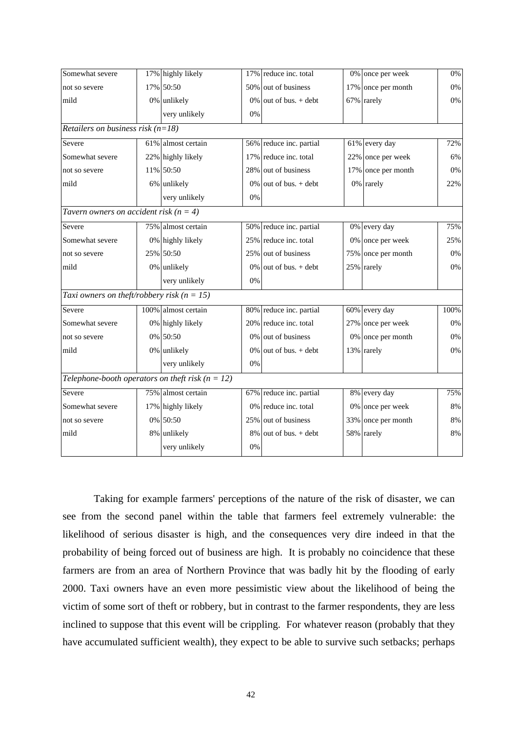| Somewhat severe                                      | 17% highly likely   |       | 17% reduce inc. total    | 0% once per week   | $0\%$ |
|------------------------------------------------------|---------------------|-------|--------------------------|--------------------|-------|
| not so severe                                        | 17% 50:50           |       | 50% out of business      | 17% once per month | 0%    |
| mild                                                 | 0% unlikely         |       | $0\%$ out of bus. + debt | 67% rarely         | $0\%$ |
|                                                      | very unlikely       | 0%    |                          |                    |       |
| Retailers on business risk $(n=18)$                  |                     |       |                          |                    |       |
| Severe                                               | 61% almost certain  |       | 56% reduce inc. partial  | 61% every day      | 72%   |
| Somewhat severe                                      | 22% highly likely   |       | 17% reduce inc. total    | 22% once per week  | 6%    |
| not so severe                                        | 11% 50:50           |       | 28% out of business      | 17% once per month | 0%    |
| mild                                                 | 6% unlikely         |       | $0\%$ out of bus. + debt | 0% rarely          | 22%   |
|                                                      | very unlikely       | 0%    |                          |                    |       |
| Tavern owners on accident risk $(n = 4)$             |                     |       |                          |                    |       |
| Severe                                               | 75% almost certain  |       | 50% reduce inc. partial  | 0% every day       | 75%   |
| Somewhat severe                                      | 0% highly likely    |       | 25% reduce inc. total    | 0% once per week   | 25%   |
| not so severe                                        | 25% 50:50           |       | 25% out of business      | 75% once per month | 0%    |
| mild                                                 | 0% unlikely         |       | $0\%$ out of bus. + debt | 25% rarely         | $0\%$ |
|                                                      | very unlikely       | 0%    |                          |                    |       |
| Taxi owners on theft/robbery risk ( $n = 15$ )       |                     |       |                          |                    |       |
| Severe                                               | 100% almost certain |       | 80% reduce inc. partial  | 60% every day      | 100%  |
| Somewhat severe                                      | 0% highly likely    |       | 20% reduce inc. total    | 27% once per week  | 0%    |
| not so severe                                        | 0% 50:50            |       | 0% out of business       | 0% once per month  | $0\%$ |
| mild                                                 | 0% unlikely         |       | $0\%$ out of bus. + debt | 13% rarely         | $0\%$ |
|                                                      | very unlikely       | 0%    |                          |                    |       |
| Telephone-booth operators on theft risk ( $n = 12$ ) |                     |       |                          |                    |       |
| Severe                                               | 75% almost certain  |       | 67% reduce inc. partial  | 8% every day       | 75%   |
| Somewhat severe                                      | 17% highly likely   |       | 0% reduce inc. total     | 0% once per week   | $8\%$ |
| not so severe                                        | 0% 50:50            |       | 25% out of business      | 33% once per month | $8\%$ |
| mild                                                 | 8% unlikely         |       | $8\%$ out of bus. + debt | 58% rarely         | $8\%$ |
|                                                      | very unlikely       | $0\%$ |                          |                    |       |

Taking for example farmers' perceptions of the nature of the risk of disaster, we can see from the second panel within the table that farmers feel extremely vulnerable: the likelihood of serious disaster is high, and the consequences very dire indeed in that the probability of being forced out of business are high. It is probably no coincidence that these farmers are from an area of Northern Province that was badly hit by the flooding of early 2000. Taxi owners have an even more pessimistic view about the likelihood of being the victim of some sort of theft or robbery, but in contrast to the farmer respondents, they are less inclined to suppose that this event will be crippling. For whatever reason (probably that they have accumulated sufficient wealth), they expect to be able to survive such setbacks; perhaps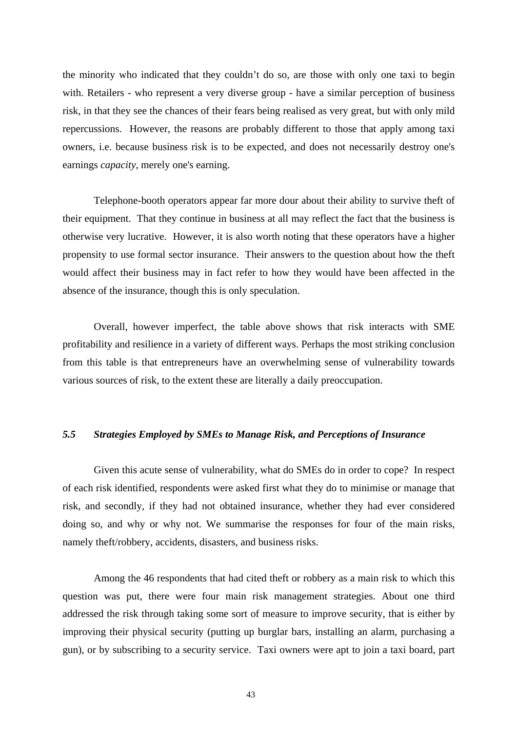the minority who indicated that they couldn't do so, are those with only one taxi to begin with. Retailers - who represent a very diverse group - have a similar perception of business risk, in that they see the chances of their fears being realised as very great, but with only mild repercussions. However, the reasons are probably different to those that apply among taxi owners, i.e. because business risk is to be expected, and does not necessarily destroy one's earnings *capacity*, merely one's earning.

Telephone-booth operators appear far more dour about their ability to survive theft of their equipment. That they continue in business at all may reflect the fact that the business is otherwise very lucrative. However, it is also worth noting that these operators have a higher propensity to use formal sector insurance. Their answers to the question about how the theft would affect their business may in fact refer to how they would have been affected in the absence of the insurance, though this is only speculation.

Overall, however imperfect, the table above shows that risk interacts with SME profitability and resilience in a variety of different ways. Perhaps the most striking conclusion from this table is that entrepreneurs have an overwhelming sense of vulnerability towards various sources of risk, to the extent these are literally a daily preoccupation.

#### *5.5 Strategies Employed by SMEs to Manage Risk, and Perceptions of Insurance*

Given this acute sense of vulnerability, what do SMEs do in order to cope? In respect of each risk identified, respondents were asked first what they do to minimise or manage that risk, and secondly, if they had not obtained insurance, whether they had ever considered doing so, and why or why not. We summarise the responses for four of the main risks, namely theft/robbery, accidents, disasters, and business risks.

Among the 46 respondents that had cited theft or robbery as a main risk to which this question was put, there were four main risk management strategies. About one third addressed the risk through taking some sort of measure to improve security, that is either by improving their physical security (putting up burglar bars, installing an alarm, purchasing a gun), or by subscribing to a security service. Taxi owners were apt to join a taxi board, part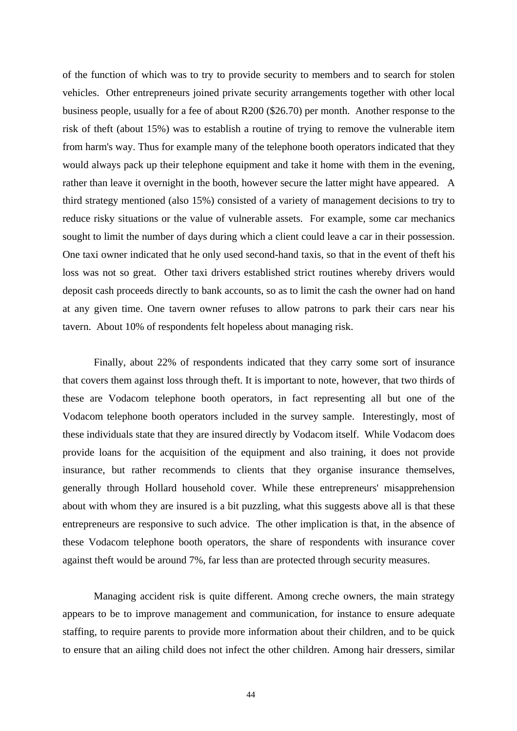of the function of which was to try to provide security to members and to search for stolen vehicles. Other entrepreneurs joined private security arrangements together with other local business people, usually for a fee of about R200 (\$26.70) per month. Another response to the risk of theft (about 15%) was to establish a routine of trying to remove the vulnerable item from harm's way. Thus for example many of the telephone booth operators indicated that they would always pack up their telephone equipment and take it home with them in the evening, rather than leave it overnight in the booth, however secure the latter might have appeared. A third strategy mentioned (also 15%) consisted of a variety of management decisions to try to reduce risky situations or the value of vulnerable assets. For example, some car mechanics sought to limit the number of days during which a client could leave a car in their possession. One taxi owner indicated that he only used second-hand taxis, so that in the event of theft his loss was not so great. Other taxi drivers established strict routines whereby drivers would deposit cash proceeds directly to bank accounts, so as to limit the cash the owner had on hand at any given time. One tavern owner refuses to allow patrons to park their cars near his tavern. About 10% of respondents felt hopeless about managing risk.

Finally, about 22% of respondents indicated that they carry some sort of insurance that covers them against loss through theft. It is important to note, however, that two thirds of these are Vodacom telephone booth operators, in fact representing all but one of the Vodacom telephone booth operators included in the survey sample. Interestingly, most of these individuals state that they are insured directly by Vodacom itself. While Vodacom does provide loans for the acquisition of the equipment and also training, it does not provide insurance, but rather recommends to clients that they organise insurance themselves, generally through Hollard household cover. While these entrepreneurs' misapprehension about with whom they are insured is a bit puzzling, what this suggests above all is that these entrepreneurs are responsive to such advice. The other implication is that, in the absence of these Vodacom telephone booth operators, the share of respondents with insurance cover against theft would be around 7%, far less than are protected through security measures.

Managing accident risk is quite different. Among creche owners, the main strategy appears to be to improve management and communication, for instance to ensure adequate staffing, to require parents to provide more information about their children, and to be quick to ensure that an ailing child does not infect the other children. Among hair dressers, similar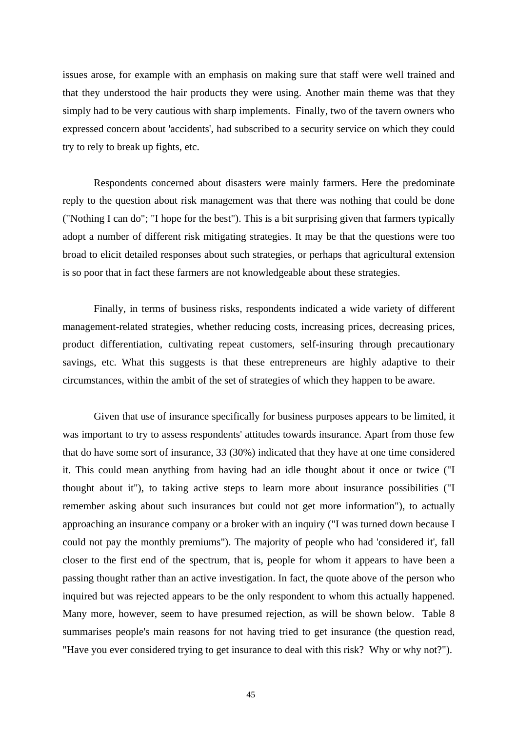issues arose, for example with an emphasis on making sure that staff were well trained and that they understood the hair products they were using. Another main theme was that they simply had to be very cautious with sharp implements. Finally, two of the tavern owners who expressed concern about 'accidents', had subscribed to a security service on which they could try to rely to break up fights, etc.

Respondents concerned about disasters were mainly farmers. Here the predominate reply to the question about risk management was that there was nothing that could be done ("Nothing I can do"; "I hope for the best"). This is a bit surprising given that farmers typically adopt a number of different risk mitigating strategies. It may be that the questions were too broad to elicit detailed responses about such strategies, or perhaps that agricultural extension is so poor that in fact these farmers are not knowledgeable about these strategies.

Finally, in terms of business risks, respondents indicated a wide variety of different management-related strategies, whether reducing costs, increasing prices, decreasing prices, product differentiation, cultivating repeat customers, self-insuring through precautionary savings, etc. What this suggests is that these entrepreneurs are highly adaptive to their circumstances, within the ambit of the set of strategies of which they happen to be aware.

Given that use of insurance specifically for business purposes appears to be limited, it was important to try to assess respondents' attitudes towards insurance. Apart from those few that do have some sort of insurance, 33 (30%) indicated that they have at one time considered it. This could mean anything from having had an idle thought about it once or twice ("I thought about it"), to taking active steps to learn more about insurance possibilities ("I remember asking about such insurances but could not get more information"), to actually approaching an insurance company or a broker with an inquiry ("I was turned down because I could not pay the monthly premiums"). The majority of people who had 'considered it', fall closer to the first end of the spectrum, that is, people for whom it appears to have been a passing thought rather than an active investigation. In fact, the quote above of the person who inquired but was rejected appears to be the only respondent to whom this actually happened. Many more, however, seem to have presumed rejection, as will be shown below. Table 8 summarises people's main reasons for not having tried to get insurance (the question read, "Have you ever considered trying to get insurance to deal with this risk? Why or why not?").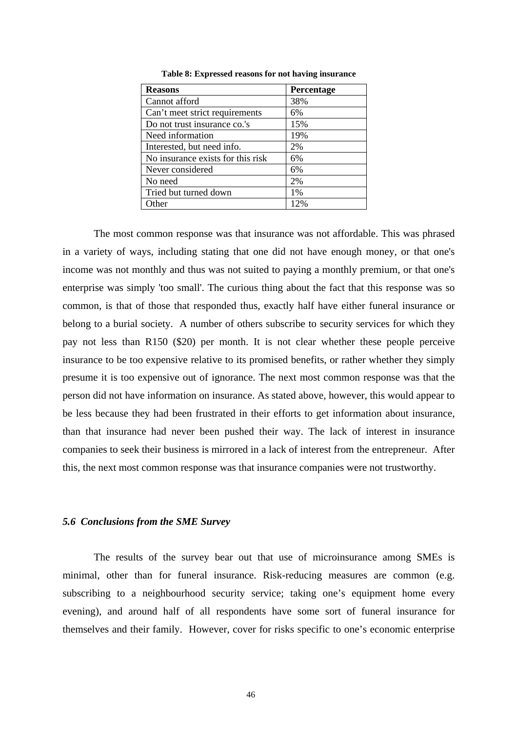| <b>Reasons</b>                    | <b>Percentage</b> |
|-----------------------------------|-------------------|
| Cannot afford                     | 38%               |
| Can't meet strict requirements    | 6%                |
| Do not trust insurance co.'s      | 15%               |
| Need information                  | 19%               |
| Interested, but need info.        | 2%                |
| No insurance exists for this risk | 6%                |
| Never considered                  | 6%                |
| No need                           | 2%                |
| Tried but turned down             | 1%                |
| Other                             | 12%               |

**Table 8: Expressed reasons for not having insurance**

The most common response was that insurance was not affordable. This was phrased in a variety of ways, including stating that one did not have enough money, or that one's income was not monthly and thus was not suited to paying a monthly premium, or that one's enterprise was simply 'too small'. The curious thing about the fact that this response was so common, is that of those that responded thus, exactly half have either funeral insurance or belong to a burial society. A number of others subscribe to security services for which they pay not less than R150 (\$20) per month. It is not clear whether these people perceive insurance to be too expensive relative to its promised benefits, or rather whether they simply presume it is too expensive out of ignorance. The next most common response was that the person did not have information on insurance. As stated above, however, this would appear to be less because they had been frustrated in their efforts to get information about insurance, than that insurance had never been pushed their way. The lack of interest in insurance companies to seek their business is mirrored in a lack of interest from the entrepreneur. After this, the next most common response was that insurance companies were not trustworthy.

#### *5.6 Conclusions from the SME Survey*

The results of the survey bear out that use of microinsurance among SMEs is minimal, other than for funeral insurance. Risk-reducing measures are common (e.g. subscribing to a neighbourhood security service; taking one's equipment home every evening), and around half of all respondents have some sort of funeral insurance for themselves and their family. However, cover for risks specific to one's economic enterprise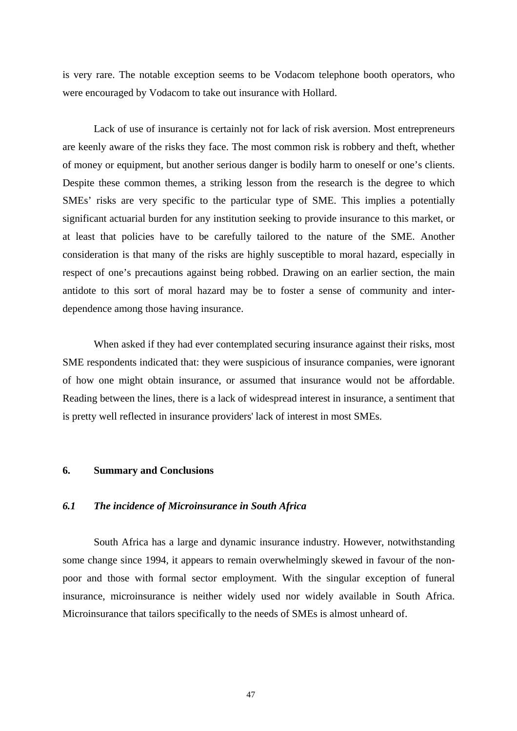is very rare. The notable exception seems to be Vodacom telephone booth operators, who were encouraged by Vodacom to take out insurance with Hollard.

Lack of use of insurance is certainly not for lack of risk aversion. Most entrepreneurs are keenly aware of the risks they face. The most common risk is robbery and theft, whether of money or equipment, but another serious danger is bodily harm to oneself or one's clients. Despite these common themes, a striking lesson from the research is the degree to which SMEs' risks are very specific to the particular type of SME. This implies a potentially significant actuarial burden for any institution seeking to provide insurance to this market, or at least that policies have to be carefully tailored to the nature of the SME. Another consideration is that many of the risks are highly susceptible to moral hazard, especially in respect of one's precautions against being robbed. Drawing on an earlier section, the main antidote to this sort of moral hazard may be to foster a sense of community and interdependence among those having insurance.

When asked if they had ever contemplated securing insurance against their risks, most SME respondents indicated that: they were suspicious of insurance companies, were ignorant of how one might obtain insurance, or assumed that insurance would not be affordable. Reading between the lines, there is a lack of widespread interest in insurance, a sentiment that is pretty well reflected in insurance providers' lack of interest in most SMEs.

#### **6. Summary and Conclusions**

#### *6.1 The incidence of Microinsurance in South Africa*

South Africa has a large and dynamic insurance industry. However, notwithstanding some change since 1994, it appears to remain overwhelmingly skewed in favour of the nonpoor and those with formal sector employment. With the singular exception of funeral insurance, microinsurance is neither widely used nor widely available in South Africa. Microinsurance that tailors specifically to the needs of SMEs is almost unheard of.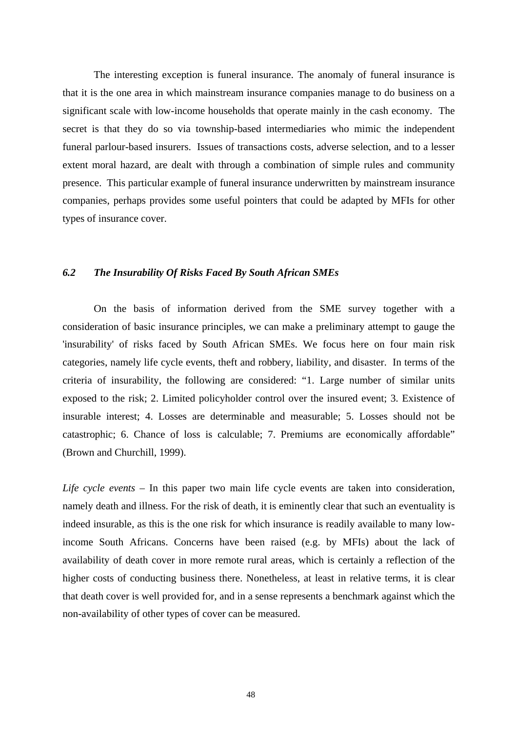The interesting exception is funeral insurance. The anomaly of funeral insurance is that it is the one area in which mainstream insurance companies manage to do business on a significant scale with low-income households that operate mainly in the cash economy. The secret is that they do so via township-based intermediaries who mimic the independent funeral parlour-based insurers. Issues of transactions costs, adverse selection, and to a lesser extent moral hazard, are dealt with through a combination of simple rules and community presence. This particular example of funeral insurance underwritten by mainstream insurance companies, perhaps provides some useful pointers that could be adapted by MFIs for other types of insurance cover.

#### *6.2 The Insurability Of Risks Faced By South African SMEs*

On the basis of information derived from the SME survey together with a consideration of basic insurance principles, we can make a preliminary attempt to gauge the 'insurability' of risks faced by South African SMEs. We focus here on four main risk categories, namely life cycle events, theft and robbery, liability, and disaster. In terms of the criteria of insurability, the following are considered: "1. Large number of similar units exposed to the risk; 2. Limited policyholder control over the insured event; 3. Existence of insurable interest; 4. Losses are determinable and measurable; 5. Losses should not be catastrophic; 6. Chance of loss is calculable; 7. Premiums are economically affordable" (Brown and Churchill, 1999).

*Life cycle events –* In this paper two main life cycle events are taken into consideration, namely death and illness. For the risk of death, it is eminently clear that such an eventuality is indeed insurable, as this is the one risk for which insurance is readily available to many lowincome South Africans. Concerns have been raised (e.g. by MFIs) about the lack of availability of death cover in more remote rural areas, which is certainly a reflection of the higher costs of conducting business there. Nonetheless, at least in relative terms, it is clear that death cover is well provided for, and in a sense represents a benchmark against which the non-availability of other types of cover can be measured.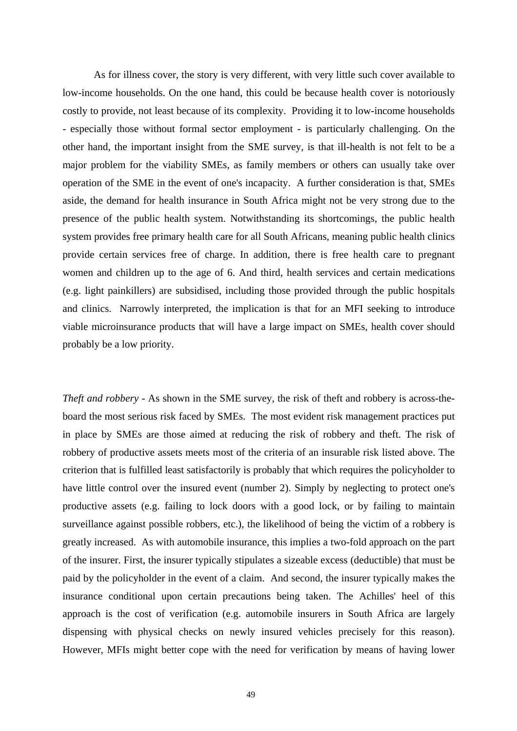As for illness cover, the story is very different, with very little such cover available to low-income households. On the one hand, this could be because health cover is notoriously costly to provide, not least because of its complexity. Providing it to low-income households - especially those without formal sector employment - is particularly challenging. On the other hand, the important insight from the SME survey, is that ill-health is not felt to be a major problem for the viability SMEs, as family members or others can usually take over operation of the SME in the event of one's incapacity. A further consideration is that, SMEs aside, the demand for health insurance in South Africa might not be very strong due to the presence of the public health system. Notwithstanding its shortcomings, the public health system provides free primary health care for all South Africans, meaning public health clinics provide certain services free of charge. In addition, there is free health care to pregnant women and children up to the age of 6. And third, health services and certain medications (e.g. light painkillers) are subsidised, including those provided through the public hospitals and clinics. Narrowly interpreted, the implication is that for an MFI seeking to introduce viable microinsurance products that will have a large impact on SMEs, health cover should probably be a low priority.

*Theft and robbery -* As shown in the SME survey, the risk of theft and robbery is across-theboard the most serious risk faced by SMEs. The most evident risk management practices put in place by SMEs are those aimed at reducing the risk of robbery and theft. The risk of robbery of productive assets meets most of the criteria of an insurable risk listed above. The criterion that is fulfilled least satisfactorily is probably that which requires the policyholder to have little control over the insured event (number 2). Simply by neglecting to protect one's productive assets (e.g. failing to lock doors with a good lock, or by failing to maintain surveillance against possible robbers, etc.), the likelihood of being the victim of a robbery is greatly increased. As with automobile insurance, this implies a two-fold approach on the part of the insurer. First, the insurer typically stipulates a sizeable excess (deductible) that must be paid by the policyholder in the event of a claim. And second, the insurer typically makes the insurance conditional upon certain precautions being taken. The Achilles' heel of this approach is the cost of verification (e.g. automobile insurers in South Africa are largely dispensing with physical checks on newly insured vehicles precisely for this reason). However, MFIs might better cope with the need for verification by means of having lower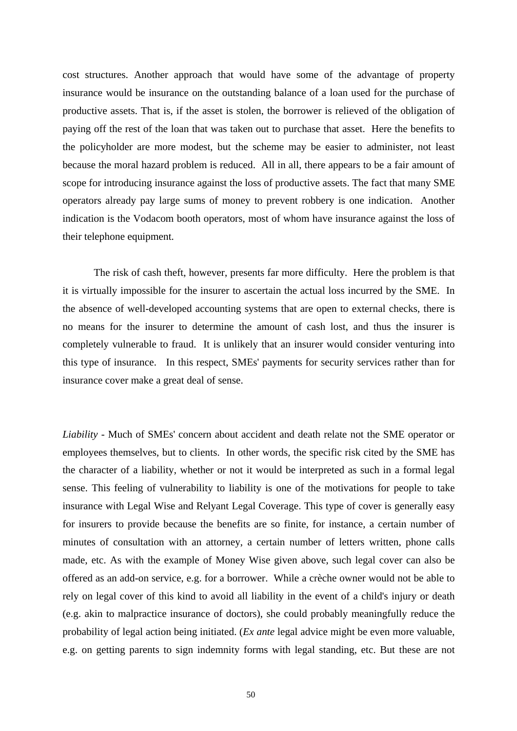cost structures. Another approach that would have some of the advantage of property insurance would be insurance on the outstanding balance of a loan used for the purchase of productive assets. That is, if the asset is stolen, the borrower is relieved of the obligation of paying off the rest of the loan that was taken out to purchase that asset. Here the benefits to the policyholder are more modest, but the scheme may be easier to administer, not least because the moral hazard problem is reduced. All in all, there appears to be a fair amount of scope for introducing insurance against the loss of productive assets. The fact that many SME operators already pay large sums of money to prevent robbery is one indication. Another indication is the Vodacom booth operators, most of whom have insurance against the loss of their telephone equipment.

The risk of cash theft, however, presents far more difficulty. Here the problem is that it is virtually impossible for the insurer to ascertain the actual loss incurred by the SME. In the absence of well-developed accounting systems that are open to external checks, there is no means for the insurer to determine the amount of cash lost, and thus the insurer is completely vulnerable to fraud. It is unlikely that an insurer would consider venturing into this type of insurance. In this respect, SMEs' payments for security services rather than for insurance cover make a great deal of sense.

*Liability -* Much of SMEs' concern about accident and death relate not the SME operator or employees themselves, but to clients. In other words, the specific risk cited by the SME has the character of a liability, whether or not it would be interpreted as such in a formal legal sense. This feeling of vulnerability to liability is one of the motivations for people to take insurance with Legal Wise and Relyant Legal Coverage. This type of cover is generally easy for insurers to provide because the benefits are so finite, for instance, a certain number of minutes of consultation with an attorney, a certain number of letters written, phone calls made, etc. As with the example of Money Wise given above, such legal cover can also be offered as an add-on service, e.g. for a borrower. While a crèche owner would not be able to rely on legal cover of this kind to avoid all liability in the event of a child's injury or death (e.g. akin to malpractice insurance of doctors), she could probably meaningfully reduce the probability of legal action being initiated. (*Ex ante* legal advice might be even more valuable, e.g. on getting parents to sign indemnity forms with legal standing, etc. But these are not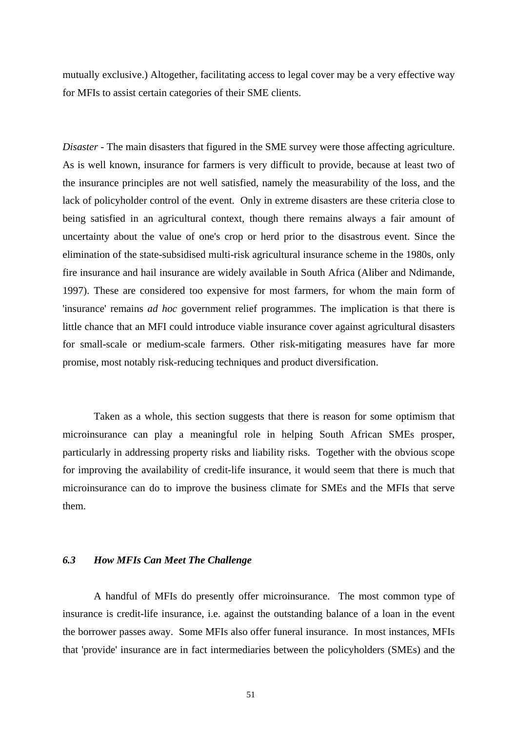mutually exclusive.) Altogether, facilitating access to legal cover may be a very effective way for MFIs to assist certain categories of their SME clients.

*Disaster* - The main disasters that figured in the SME survey were those affecting agriculture. As is well known, insurance for farmers is very difficult to provide, because at least two of the insurance principles are not well satisfied, namely the measurability of the loss, and the lack of policyholder control of the event. Only in extreme disasters are these criteria close to being satisfied in an agricultural context, though there remains always a fair amount of uncertainty about the value of one's crop or herd prior to the disastrous event. Since the elimination of the state-subsidised multi-risk agricultural insurance scheme in the 1980s, only fire insurance and hail insurance are widely available in South Africa (Aliber and Ndimande, 1997). These are considered too expensive for most farmers, for whom the main form of 'insurance' remains *ad hoc* government relief programmes. The implication is that there is little chance that an MFI could introduce viable insurance cover against agricultural disasters for small-scale or medium-scale farmers. Other risk-mitigating measures have far more promise, most notably risk-reducing techniques and product diversification.

Taken as a whole, this section suggests that there is reason for some optimism that microinsurance can play a meaningful role in helping South African SMEs prosper, particularly in addressing property risks and liability risks. Together with the obvious scope for improving the availability of credit-life insurance, it would seem that there is much that microinsurance can do to improve the business climate for SMEs and the MFIs that serve them.

#### *6.3 How MFIs Can Meet The Challenge*

 A handful of MFIs do presently offer microinsurance. The most common type of insurance is credit-life insurance, i.e. against the outstanding balance of a loan in the event the borrower passes away. Some MFIs also offer funeral insurance. In most instances, MFIs that 'provide' insurance are in fact intermediaries between the policyholders (SMEs) and the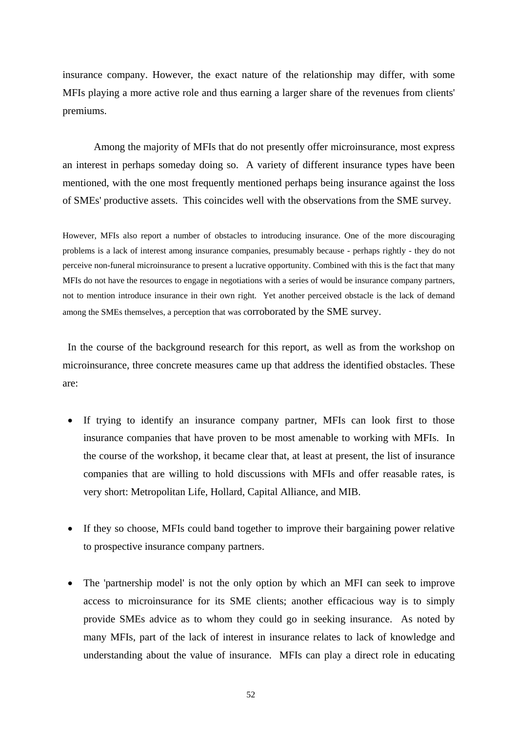insurance company. However, the exact nature of the relationship may differ, with some MFIs playing a more active role and thus earning a larger share of the revenues from clients' premiums.

Among the majority of MFIs that do not presently offer microinsurance, most express an interest in perhaps someday doing so. A variety of different insurance types have been mentioned, with the one most frequently mentioned perhaps being insurance against the loss of SMEs' productive assets. This coincides well with the observations from the SME survey.

However, MFIs also report a number of obstacles to introducing insurance. One of the more discouraging problems is a lack of interest among insurance companies, presumably because - perhaps rightly - they do not perceive non-funeral microinsurance to present a lucrative opportunity. Combined with this is the fact that many MFIs do not have the resources to engage in negotiations with a series of would be insurance company partners, not to mention introduce insurance in their own right. Yet another perceived obstacle is the lack of demand among the SMEs themselves, a perception that was corroborated by the SME survey.

In the course of the background research for this report, as well as from the workshop on microinsurance, three concrete measures came up that address the identified obstacles. These are:

- If trying to identify an insurance company partner, MFIs can look first to those insurance companies that have proven to be most amenable to working with MFIs. In the course of the workshop, it became clear that, at least at present, the list of insurance companies that are willing to hold discussions with MFIs and offer reasable rates, is very short: Metropolitan Life, Hollard, Capital Alliance, and MIB.
- If they so choose, MFIs could band together to improve their bargaining power relative to prospective insurance company partners.
- The 'partnership model' is not the only option by which an MFI can seek to improve access to microinsurance for its SME clients; another efficacious way is to simply provide SMEs advice as to whom they could go in seeking insurance. As noted by many MFIs, part of the lack of interest in insurance relates to lack of knowledge and understanding about the value of insurance. MFIs can play a direct role in educating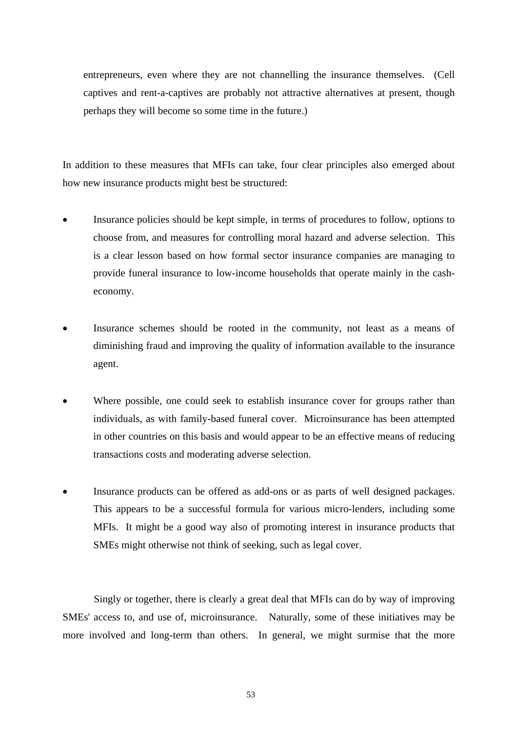entrepreneurs, even where they are not channelling the insurance themselves. (Cell captives and rent-a-captives are probably not attractive alternatives at present, though perhaps they will become so some time in the future.)

In addition to these measures that MFIs can take, four clear principles also emerged about how new insurance products might best be structured:

- Insurance policies should be kept simple, in terms of procedures to follow, options to choose from, and measures for controlling moral hazard and adverse selection. This is a clear lesson based on how formal sector insurance companies are managing to provide funeral insurance to low-income households that operate mainly in the casheconomy.
- Insurance schemes should be rooted in the community, not least as a means of diminishing fraud and improving the quality of information available to the insurance agent.
- Where possible, one could seek to establish insurance cover for groups rather than individuals, as with family-based funeral cover. Microinsurance has been attempted in other countries on this basis and would appear to be an effective means of reducing transactions costs and moderating adverse selection.
- Insurance products can be offered as add-ons or as parts of well designed packages. This appears to be a successful formula for various micro-lenders, including some MFIs. It might be a good way also of promoting interest in insurance products that SMEs might otherwise not think of seeking, such as legal cover.

Singly or together, there is clearly a great deal that MFIs can do by way of improving SMEs' access to, and use of, microinsurance. Naturally, some of these initiatives may be more involved and long-term than others. In general, we might surmise that the more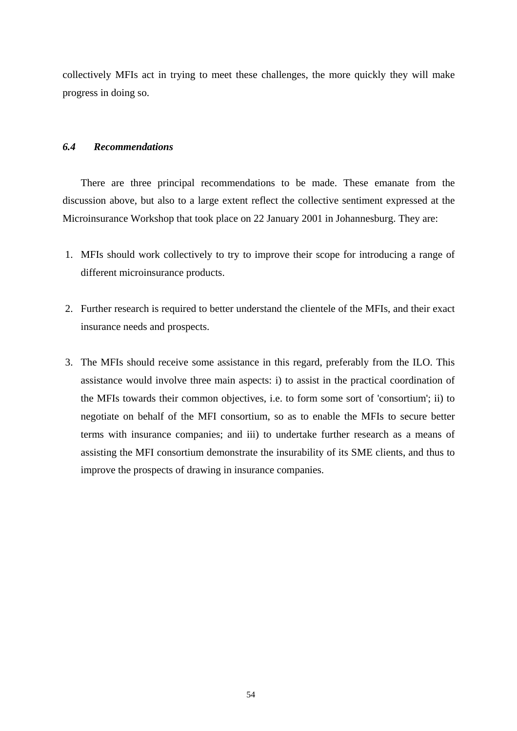collectively MFIs act in trying to meet these challenges, the more quickly they will make progress in doing so.

#### *6.4 Recommendations*

There are three principal recommendations to be made. These emanate from the discussion above, but also to a large extent reflect the collective sentiment expressed at the Microinsurance Workshop that took place on 22 January 2001 in Johannesburg. They are:

- 1. MFIs should work collectively to try to improve their scope for introducing a range of different microinsurance products.
- 2. Further research is required to better understand the clientele of the MFIs, and their exact insurance needs and prospects.
- 3. The MFIs should receive some assistance in this regard, preferably from the ILO. This assistance would involve three main aspects: i) to assist in the practical coordination of the MFIs towards their common objectives, i.e. to form some sort of 'consortium'; ii) to negotiate on behalf of the MFI consortium, so as to enable the MFIs to secure better terms with insurance companies; and iii) to undertake further research as a means of assisting the MFI consortium demonstrate the insurability of its SME clients, and thus to improve the prospects of drawing in insurance companies.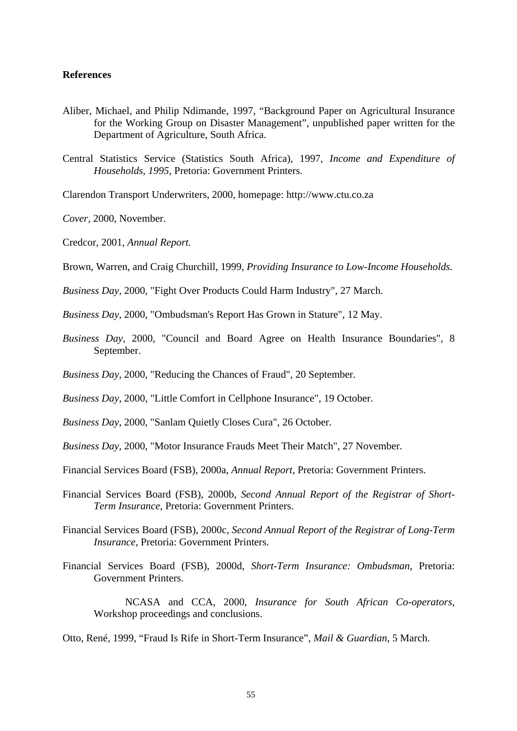#### **References**

- Aliber, Michael, and Philip Ndimande, 1997, "Background Paper on Agricultural Insurance for the Working Group on Disaster Management", unpublished paper written for the Department of Agriculture, South Africa.
- Central Statistics Service (Statistics South Africa), 1997, *Income and Expenditure of Households, 1995*, Pretoria: Government Printers.
- Clarendon Transport Underwriters, 2000, homepage: http://www.ctu.co.za
- *Cover,* 2000, November.
- Credcor, 2001, *Annual Report.*
- Brown, Warren, and Craig Churchill, 1999, *Providing Insurance to Low-Income Households.*
- *Business Day,* 2000, "Fight Over Products Could Harm Industry", 27 March.
- *Business Day,* 2000, "Ombudsman's Report Has Grown in Stature", 12 May.
- *Business Day,* 2000, "Council and Board Agree on Health Insurance Boundaries", 8 September.
- *Business Day,* 2000, "Reducing the Chances of Fraud", 20 September.
- *Business Day,* 2000, "Little Comfort in Cellphone Insurance", 19 October.
- *Business Day,* 2000, "Sanlam Quietly Closes Cura", 26 October.
- *Business Day,* 2000, "Motor Insurance Frauds Meet Their Match", 27 November.
- Financial Services Board (FSB), 2000a, *Annual Report*, Pretoria: Government Printers.
- Financial Services Board (FSB), 2000b, *Second Annual Report of the Registrar of Short-Term Insurance*, Pretoria: Government Printers.
- Financial Services Board (FSB), 2000c, *Second Annual Report of the Registrar of Long-Term Insurance*, Pretoria: Government Printers.
- Financial Services Board (FSB), 2000d, *Short-Term Insurance: Ombudsman*, Pretoria: Government Printers.
	- NCASA and CCA, 2000, *Insurance for South African Co-operators*, Workshop proceedings and conclusions.

Otto, René, 1999, "Fraud Is Rife in Short-Term Insurance", *Mail & Guardian*, 5 March.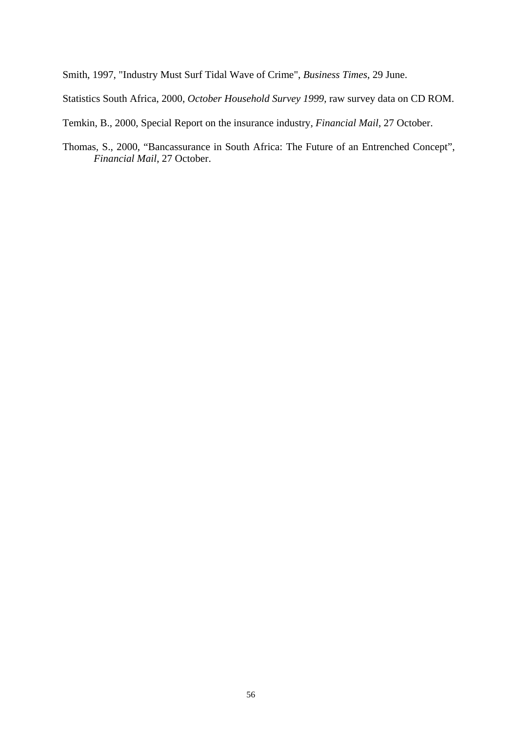Smith, 1997, "Industry Must Surf Tidal Wave of Crime", *Business Times*, 29 June.

Statistics South Africa, 2000, *October Household Survey 1999*, raw survey data on CD ROM.

Temkin, B., 2000, Special Report on the insurance industry, *Financial Mail*, 27 October.

Thomas, S., 2000, "Bancassurance in South Africa: The Future of an Entrenched Concept", *Financial Mail*, 27 October.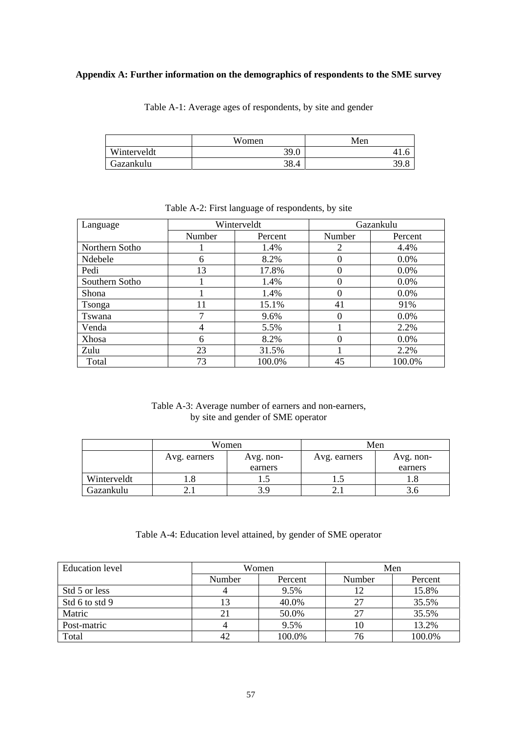#### **Appendix A: Further information on the demographics of respondents to the SME survey**

Table A-1: Average ages of respondents, by site and gender

|             | Women | Men |
|-------------|-------|-----|
| Winterveldt | 39.0  |     |
| Gazankulu   | 38.4  |     |

| Language       |        | Winterveldt | Gazankulu |         |  |
|----------------|--------|-------------|-----------|---------|--|
|                | Number | Percent     | Number    | Percent |  |
| Northern Sotho |        | 1.4%        | 2         | 4.4%    |  |
| Ndebele        | 6      | 8.2%        |           | $0.0\%$ |  |
| Pedi           | 13     | 17.8%       |           | 0.0%    |  |
| Southern Sotho |        | 1.4%        |           | $0.0\%$ |  |
| Shona          |        | 1.4%        |           | $0.0\%$ |  |
| Tsonga         | 11     | 15.1%       | 41        | 91%     |  |
| Tswana         | ┑      | 9.6%        |           | $0.0\%$ |  |
| Venda          | 4      | 5.5%        |           | 2.2%    |  |
| <b>Xhosa</b>   | 6      | 8.2%        |           | $0.0\%$ |  |
| Zulu           | 23     | 31.5%       |           | 2.2%    |  |
| Total          | 73     | 100.0%      | 45        | 100.0%  |  |

Table A-2: First language of respondents, by site

Table A-3: Average number of earners and non-earners, by site and gender of SME operator

|             |              | Women     | Men          |           |
|-------------|--------------|-----------|--------------|-----------|
|             | Avg. earners | Avg. non- | Avg. earners | Avg. non- |
|             |              | earners   |              | earners   |
| Winterveldt | 1.0          | 1.J       | 1.J          |           |
| Gazankulu   |              |           |              |           |

#### Table A-4: Education level attained, by gender of SME operator

| <b>Education</b> level | Women  |         | Men    |         |
|------------------------|--------|---------|--------|---------|
|                        | Number | Percent | Number | Percent |
| Std 5 or less          |        | 9.5%    |        | 15.8%   |
| Std 6 to std 9         |        | 40.0%   | 27     | 35.5%   |
| Matric                 |        | 50.0%   | 27     | 35.5%   |
| Post-matric            |        | 9.5%    | 10     | 13.2%   |
| Total                  |        | 100.0%  | 76     | 100.0%  |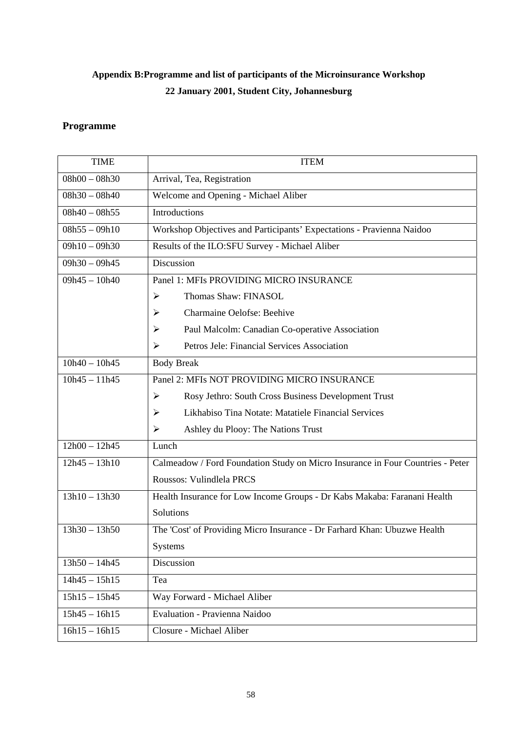## **Appendix B:Programme and list of participants of the Microinsurance Workshop 22 January 2001, Student City, Johannesburg**

### **Programme**

| <b>TIME</b>     | <b>ITEM</b>                                                                    |  |  |  |
|-----------------|--------------------------------------------------------------------------------|--|--|--|
| $08h00 - 08h30$ | Arrival, Tea, Registration                                                     |  |  |  |
| $08h30 - 08h40$ | Welcome and Opening - Michael Aliber                                           |  |  |  |
| $08h40 - 08h55$ | Introductions                                                                  |  |  |  |
| $08h55 - 09h10$ | Workshop Objectives and Participants' Expectations - Pravienna Naidoo          |  |  |  |
| $09h10 - 09h30$ | Results of the ILO:SFU Survey - Michael Aliber                                 |  |  |  |
| $09h30 - 09h45$ | Discussion                                                                     |  |  |  |
| $09h45 - 10h40$ | Panel 1: MFIs PROVIDING MICRO INSURANCE                                        |  |  |  |
|                 | Thomas Shaw: FINASOL<br>➤                                                      |  |  |  |
|                 | Charmaine Oelofse: Beehive<br>➤                                                |  |  |  |
|                 | Paul Malcolm: Canadian Co-operative Association<br>➤                           |  |  |  |
|                 | Petros Jele: Financial Services Association<br>⋗                               |  |  |  |
| $10h40 - 10h45$ | <b>Body Break</b>                                                              |  |  |  |
| $10h45 - 11h45$ | Panel 2: MFIs NOT PROVIDING MICRO INSURANCE                                    |  |  |  |
|                 | $\blacktriangleright$<br>Rosy Jethro: South Cross Business Development Trust   |  |  |  |
|                 | Likhabiso Tina Notate: Matatiele Financial Services<br>➤                       |  |  |  |
|                 | Ashley du Plooy: The Nations Trust<br>⋗                                        |  |  |  |
| $12h00 - 12h45$ | Lunch                                                                          |  |  |  |
| $12h45 - 13h10$ | Calmeadow / Ford Foundation Study on Micro Insurance in Four Countries - Peter |  |  |  |
|                 | Roussos: Vulindlela PRCS                                                       |  |  |  |
| $13h10 - 13h30$ | Health Insurance for Low Income Groups - Dr Kabs Makaba: Faranani Health       |  |  |  |
|                 | Solutions                                                                      |  |  |  |
| $13h30 - 13h50$ | The 'Cost' of Providing Micro Insurance - Dr Farhard Khan: Ubuzwe Health       |  |  |  |
|                 | <b>Systems</b>                                                                 |  |  |  |
| $13h50 - 14h45$ | Discussion                                                                     |  |  |  |
| $14h45 - 15h15$ | Tea                                                                            |  |  |  |
| $15h15 - 15h45$ | Way Forward - Michael Aliber                                                   |  |  |  |
| $15h45 - 16h15$ | Evaluation - Pravienna Naidoo                                                  |  |  |  |
| $16h15 - 16h15$ | Closure - Michael Aliber                                                       |  |  |  |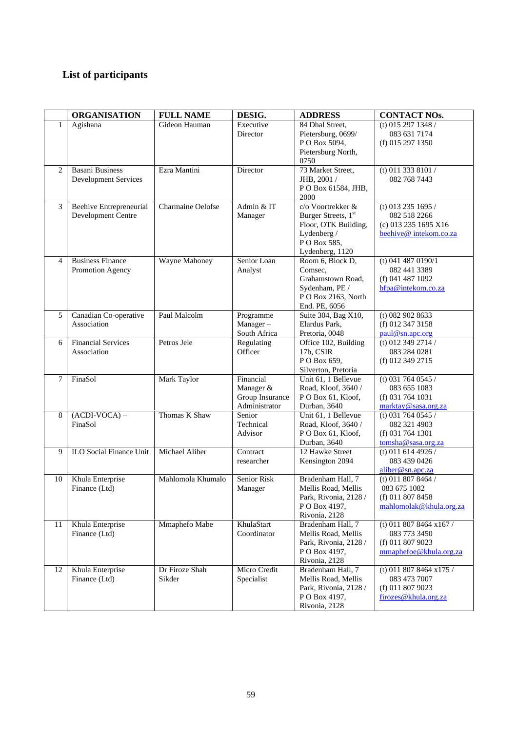## **List of participants**

|        | <b>ORGANISATION</b>                                   | <b>FULL NAME</b>         | DESIG.                                                     | <b>ADDRESS</b>                                                                                                    | <b>CONTACT NOs.</b>                                                                   |
|--------|-------------------------------------------------------|--------------------------|------------------------------------------------------------|-------------------------------------------------------------------------------------------------------------------|---------------------------------------------------------------------------------------|
| 1      | Agishana                                              | Gideon Hauman            | Executive<br>Director                                      | 84 Dhal Street,<br>Pietersburg, 0699/<br>PO Box 5094,<br>Pietersburg North,<br>0750                               | (t) 015 297 1348 /<br>083 631 7174<br>(f) 015 297 1350                                |
| 2      | <b>Basani Business</b><br><b>Development Services</b> | Ezra Mantini             | Director                                                   | 73 Market Street,<br>JHB, 2001 /<br>PO Box 61584, JHB,<br>2000                                                    | (t) 011 333 8101 /<br>082 768 7443                                                    |
| 3      | <b>Beehive Entrepreneurial</b><br>Development Centre  | Charmaine Oelofse        | Admin & IT<br>Manager                                      | c/o Voortrekker &<br>Burger Streets, 1st<br>Floor, OTK Building,<br>Lydenberg /<br>PO Box 585,<br>Lydenberg, 1120 | (t) 013 235 1695 /<br>082 518 2266<br>(c) 013 235 1695 X16<br>beehive@intekom.co.za   |
| 4      | <b>Business Finance</b><br>Promotion Agency           | <b>Wayne Mahoney</b>     | Senior Loan<br>Analyst                                     | Room 6, Block D,<br>Comsec.<br>Grahamstown Road,<br>Sydenham, PE /<br>PO Box 2163, North<br>End. PE, 6056         | $(t)$ 041 487 0190/1<br>082 441 3389<br>$(f)$ 041 487 1092<br>bfpa@intekom.co.za      |
| 5      | Canadian Co-operative<br>Association                  | Paul Malcolm             | Programme<br>$Manager -$<br>South Africa                   | Suite 304, Bag X10,<br>Elardus Park.<br>Pretoria, 0048                                                            | $(t)$ 082 902 8633<br>(f) 012 347 3158<br>paul@sn.apc.org                             |
| 6      | <b>Financial Services</b><br>Association              | Petros Jele              | Regulating<br>Officer                                      | Office 102, Building<br>17b, CSIR<br>PO Box 659,<br>Silverton, Pretoria                                           | (t) 012 349 2714 /<br>083 284 0281<br>(f) 012 349 2715                                |
| $\tau$ | FinaSol                                               | <b>Mark Taylor</b>       | Financial<br>Manager &<br>Group Insurance<br>Administrator | Unit 61, 1 Bellevue<br>Road, Kloof, 3640 /<br>PO Box 61, Kloof,<br>Durban, 3640                                   | (t) 031 764 0545 /<br>083 655 1083<br>$(f)$ 031 764 1031<br>marktay@sasa.org.za       |
| 8      | $(ACDI-VOCA)$ –<br>FinaSol                            | Thomas K Shaw            | Senior<br>Technical<br>Advisor                             | Unit 61, 1 Bellevue<br>Road, Kloof, 3640 /<br>PO Box 61, Kloof,<br>Durban, 3640                                   | (t) 031 764 0545 /<br>082 321 4903<br>(f) 031 764 1301<br>tomsha@sasa.org.za          |
| 9      | <b>ILO Social Finance Unit</b>                        | Michael Aliber           | Contract<br>researcher                                     | 12 Hawke Street<br>Kensington 2094                                                                                | (t) 011 614 4926 /<br>083 439 0426<br>aliber@sn.apc.za                                |
| 10     | Khula Enterprise<br>Finance (Ltd)                     | Mahlomola Khumalo        | Senior Risk<br>Manager                                     | Bradenham Hall, 7<br>Mellis Road, Mellis<br>Park, Rivonia, 2128 /<br>P O Box 4197,<br>Rivonia, 2128               | (t) 011 807 8464 /<br>083 675 1082<br>(f) 011 807 8458<br>mahlomolak@khula.org.za     |
| 11     | Khula Enterprise<br>Finance (Ltd)                     | Mmaphefo Mabe            | KhulaStart<br>Coordinator                                  | Bradenham Hall, 7<br>Mellis Road, Mellis<br>Park, Rivonia, 2128 /<br>PO Box 4197,<br>Rivonia, 2128                | (t) 011 807 8464 x167 /<br>083 773 3450<br>(f) 011 807 9023<br>mmaphefoe@khula.org.za |
| 12     | Khula Enterprise<br>Finance (Ltd)                     | Dr Firoze Shah<br>Sikder | Micro Credit<br>Specialist                                 | Bradenham Hall, 7<br>Mellis Road, Mellis<br>Park, Rivonia, 2128 /<br>PO Box 4197,<br>Rivonia, 2128                | (t) 011 807 8464 $x175/$<br>083 473 7007<br>(f) 011 807 9023<br>firozes@khula.org.za  |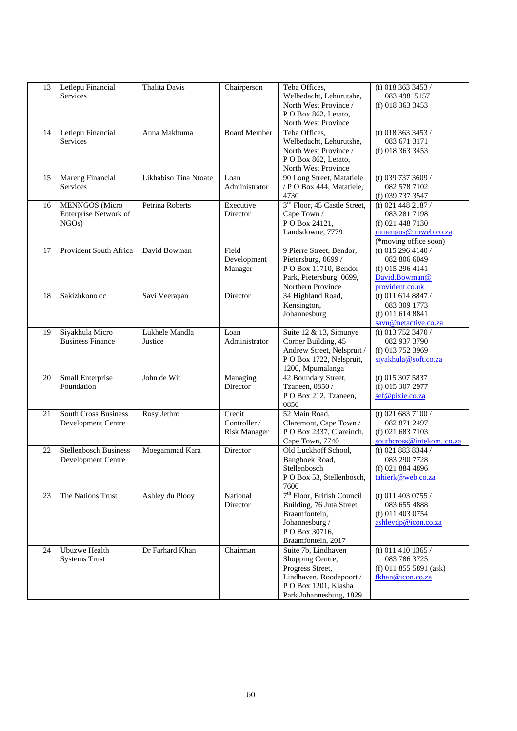| 13 | Letlepu Financial<br><b>Services</b>                    | Thalita Davis             | Chairperson                                   | Teba Offices,<br>Welbedacht, Lehurutshe,<br>North West Province /<br>P O Box 862, Lerato,<br>North West Province                               | (t) 018 363 3453 /<br>083 498 5157<br>(f) 018 363 3453                                                   |
|----|---------------------------------------------------------|---------------------------|-----------------------------------------------|------------------------------------------------------------------------------------------------------------------------------------------------|----------------------------------------------------------------------------------------------------------|
| 14 | Letlepu Financial<br>Services                           | Anna Makhuma              | <b>Board Member</b>                           | Teba Offices,<br>Welbedacht, Lehurutshe,<br>North West Province /<br>P O Box 862, Lerato,<br>North West Province                               | (t) 018 363 3453 /<br>083 671 3171<br>(f) 018 363 3453                                                   |
| 15 | <b>Mareng Financial</b><br>Services                     | Likhabiso Tina Ntoate     | Loan<br>Administrator                         | 90 Long Street, Matatiele<br>/ P O Box 444, Matatiele,<br>4730                                                                                 | (t) 039 737 3609 /<br>082 578 7102<br>(f) 039 737 3547                                                   |
| 16 | <b>MENNGOS</b> (Micro<br>Enterprise Network of<br>NGOs) | Petrina Roberts           | Executive<br>Director                         | 3 <sup>rd</sup> Floor, 45 Castle Street,<br>Cape Town /<br>PO Box 24121,<br>Landsdowne, 7779                                                   | (t) 021 448 2187 /<br>083 281 7198<br>$(f)$ 021 448 7130<br>mmengos@ mweb.co.za<br>(*moving office soon) |
| 17 | Provident South Africa                                  | David Bowman              | Field<br>Development<br>Manager               | 9 Pierre Street, Bendor,<br>Pietersburg, 0699 /<br>PO Box 11710, Bendor<br>Park, Pietersburg, 0699,<br>Northern Province                       | (t) 015 296 4140 /<br>082 806 6049<br>(f) 015 296 4141<br>David.Bowman@<br>provident.co.uk               |
| 18 | Sakizhkono cc                                           | Savi Veerapan             | Director                                      | 34 Highland Road,<br>Kensington,<br>Johannesburg                                                                                               | $(t)$ 011 614 8847 /<br>083 309 1773<br>$(f)$ 011 614 8841<br>savu@netactive.co.za                       |
| 19 | Siyakhula Micro<br><b>Business Finance</b>              | Lukhele Mandla<br>Justice | Loan<br>Administrator                         | Suite 12 & 13, Simunye<br>Corner Building, 45<br>Andrew Street, Nelspruit /<br>P O Box 1722, Nelspruit,<br>1200, Mpumalanga                    | (t) 013 752 3470 /<br>082 937 3790<br>(f) 013 752 3969<br>siyakhula@soft.co.za                           |
| 20 | Small Enterprise<br>Foundation                          | John de Wit               | Managing<br>Director                          | 42 Boundary Street,<br>Tzaneen, 0850 /<br>P O Box 212, Tzaneen,<br>0850                                                                        | $(t)$ 015 307 5837<br>(f) 015 307 2977<br>sef@pixie.co.za                                                |
| 21 | <b>South Cross Business</b><br>Development Centre       | Rosy Jethro               | Credit<br>Controller /<br><b>Risk Manager</b> | 52 Main Road,<br>Claremont, Cape Town /<br>P O Box 2337, Clareinch,<br>Cape Town, 7740                                                         | (t) 021 683 7100 $/$<br>082 871 2497<br>(f) 021 683 7103<br>southcross@intekom.co.za                     |
| 22 | <b>Stellenbosch Business</b><br>Development Centre      | Moegammad Kara            | Director                                      | Old Luckhoff School,<br>Banghoek Road,<br>Stellenbosch<br>P O Box 53, Stellenbosch,<br>7600                                                    | (t) 021 883 8344 /<br>083 290 7728<br>$(f)$ 021 884 4896<br>tahierk@web.co.za                            |
| 23 | The Nations Trust                                       | Ashley du Plooy           | National<br>Director                          | 7 <sup>th</sup> Floor, British Council<br>Building, 76 Juta Street,<br>Braamfontein,<br>Johannesburg /<br>P O Box 30716,<br>Braamfontein, 2017 | (t) 011 403 0755 /<br>083 655 4888<br>$(f)$ 011 403 0754<br>ashleydp@icon.co.za                          |
| 24 | <b>Ubuzwe Health</b><br><b>Systems Trust</b>            | Dr Farhard Khan           | Chairman                                      | Suite 7b, Lindhaven<br>Shopping Centre,<br>Progress Street,<br>Lindhaven, Roodepoort /<br>PO Box 1201, Kiasha<br>Park Johannesburg, 1829       | (t) 011 410 1365 /<br>083 786 3725<br>$(f)$ 011 855 5891 (ask)<br>fkhan@icon.co.za                       |